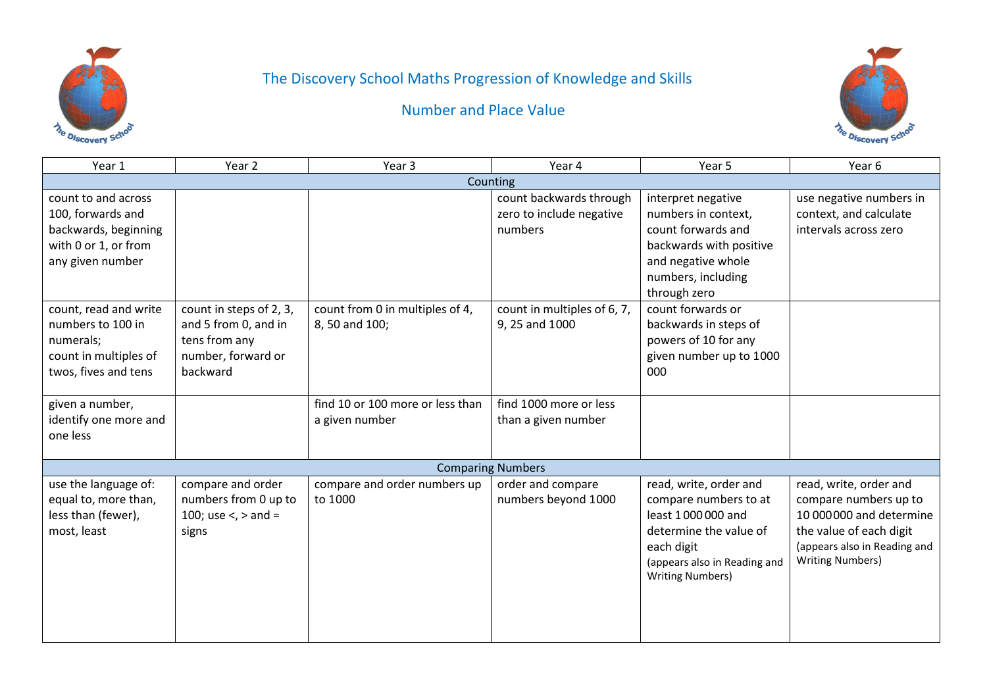

# The Discovery School Maths Progression of Knowledge and Skills



Number and Place Value

| Year 1                                                                                                       | Year 2                                                                                             | Year <sub>3</sub>                                  | Year 4                                                         | Year 5                                                                                                                                                                  | Year 6                                                                                                                                                            |  |  |
|--------------------------------------------------------------------------------------------------------------|----------------------------------------------------------------------------------------------------|----------------------------------------------------|----------------------------------------------------------------|-------------------------------------------------------------------------------------------------------------------------------------------------------------------------|-------------------------------------------------------------------------------------------------------------------------------------------------------------------|--|--|
| Counting                                                                                                     |                                                                                                    |                                                    |                                                                |                                                                                                                                                                         |                                                                                                                                                                   |  |  |
| count to and across<br>100, forwards and<br>backwards, beginning<br>with 0 or 1, or from<br>any given number |                                                                                                    |                                                    | count backwards through<br>zero to include negative<br>numbers | interpret negative<br>numbers in context,<br>count forwards and<br>backwards with positive<br>and negative whole<br>numbers, including<br>through zero                  | use negative numbers in<br>context, and calculate<br>intervals across zero                                                                                        |  |  |
| count, read and write<br>numbers to 100 in<br>numerals;<br>count in multiples of<br>twos, fives and tens     | count in steps of 2, 3,<br>and 5 from 0, and in<br>tens from any<br>number, forward or<br>backward | count from 0 in multiples of 4,<br>8, 50 and 100;  | count in multiples of 6, 7,<br>9, 25 and 1000                  | count forwards or<br>backwards in steps of<br>powers of 10 for any<br>given number up to 1000<br>000                                                                    |                                                                                                                                                                   |  |  |
| given a number,<br>identify one more and<br>one less                                                         |                                                                                                    | find 10 or 100 more or less than<br>a given number | find 1000 more or less<br>than a given number                  |                                                                                                                                                                         |                                                                                                                                                                   |  |  |
|                                                                                                              |                                                                                                    |                                                    | <b>Comparing Numbers</b>                                       |                                                                                                                                                                         |                                                                                                                                                                   |  |  |
| use the language of:<br>equal to, more than,<br>less than (fewer),<br>most, least                            | compare and order<br>numbers from 0 up to<br>100; use <, > and =<br>signs                          | compare and order numbers up<br>to 1000            | order and compare<br>numbers beyond 1000                       | read, write, order and<br>compare numbers to at<br>least 1000000 and<br>determine the value of<br>each digit<br>(appears also in Reading and<br><b>Writing Numbers)</b> | read, write, order and<br>compare numbers up to<br>10 000 000 and determine<br>the value of each digit<br>(appears also in Reading and<br><b>Writing Numbers)</b> |  |  |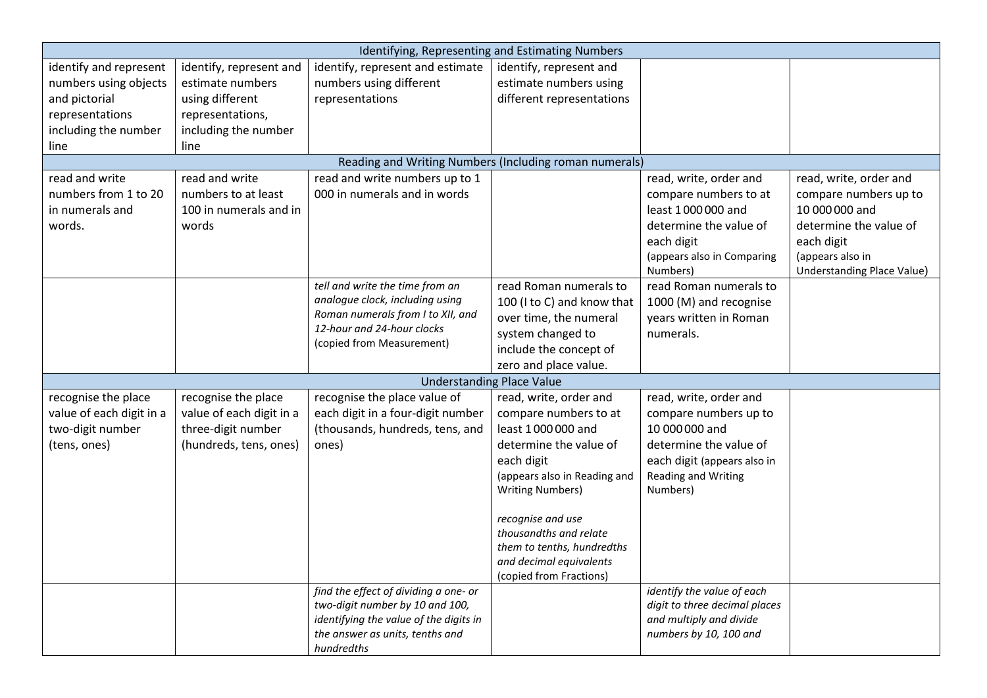| Identifying, Representing and Estimating Numbers |                          |                                                        |                                  |                               |                            |  |
|--------------------------------------------------|--------------------------|--------------------------------------------------------|----------------------------------|-------------------------------|----------------------------|--|
| identify and represent                           | identify, represent and  | identify, represent and estimate                       | identify, represent and          |                               |                            |  |
| numbers using objects                            | estimate numbers         | numbers using different                                | estimate numbers using           |                               |                            |  |
| and pictorial                                    | using different          | representations                                        | different representations        |                               |                            |  |
| representations                                  | representations,         |                                                        |                                  |                               |                            |  |
| including the number                             | including the number     |                                                        |                                  |                               |                            |  |
| line                                             | line                     |                                                        |                                  |                               |                            |  |
|                                                  |                          | Reading and Writing Numbers (Including roman numerals) |                                  |                               |                            |  |
| read and write                                   | read and write           | read and write numbers up to 1                         |                                  | read, write, order and        | read, write, order and     |  |
| numbers from 1 to 20                             | numbers to at least      | 000 in numerals and in words                           |                                  | compare numbers to at         | compare numbers up to      |  |
| in numerals and                                  | 100 in numerals and in   |                                                        |                                  | least 1000000 and             | 10 000 000 and             |  |
| words.                                           | words                    |                                                        |                                  | determine the value of        | determine the value of     |  |
|                                                  |                          |                                                        |                                  | each digit                    | each digit                 |  |
|                                                  |                          |                                                        |                                  | (appears also in Comparing    | (appears also in           |  |
|                                                  |                          |                                                        |                                  | Numbers)                      | Understanding Place Value) |  |
|                                                  |                          | tell and write the time from an                        | read Roman numerals to           | read Roman numerals to        |                            |  |
|                                                  |                          | analogue clock, including using                        | 100 (I to C) and know that       | 1000 (M) and recognise        |                            |  |
|                                                  |                          | Roman numerals from I to XII, and                      | over time, the numeral           | years written in Roman        |                            |  |
|                                                  |                          | 12-hour and 24-hour clocks                             | system changed to                | numerals.                     |                            |  |
|                                                  |                          | (copied from Measurement)                              | include the concept of           |                               |                            |  |
|                                                  |                          |                                                        | zero and place value.            |                               |                            |  |
|                                                  |                          |                                                        | <b>Understanding Place Value</b> |                               |                            |  |
| recognise the place                              | recognise the place      | recognise the place value of                           | read, write, order and           | read, write, order and        |                            |  |
| value of each digit in a                         | value of each digit in a | each digit in a four-digit number                      | compare numbers to at            | compare numbers up to         |                            |  |
| two-digit number                                 | three-digit number       | (thousands, hundreds, tens, and                        | least 1000000 and                | 10 000 000 and                |                            |  |
| (tens, ones)                                     | (hundreds, tens, ones)   | ones)                                                  | determine the value of           | determine the value of        |                            |  |
|                                                  |                          |                                                        | each digit                       | each digit (appears also in   |                            |  |
|                                                  |                          |                                                        | (appears also in Reading and     | <b>Reading and Writing</b>    |                            |  |
|                                                  |                          |                                                        | <b>Writing Numbers)</b>          | Numbers)                      |                            |  |
|                                                  |                          |                                                        | recognise and use                |                               |                            |  |
|                                                  |                          |                                                        | thousandths and relate           |                               |                            |  |
|                                                  |                          |                                                        | them to tenths, hundredths       |                               |                            |  |
|                                                  |                          |                                                        | and decimal equivalents          |                               |                            |  |
|                                                  |                          |                                                        | (copied from Fractions)          |                               |                            |  |
|                                                  |                          | find the effect of dividing a one- or                  |                                  | identify the value of each    |                            |  |
|                                                  |                          | two-digit number by 10 and 100,                        |                                  | digit to three decimal places |                            |  |
|                                                  |                          | identifying the value of the digits in                 |                                  | and multiply and divide       |                            |  |
|                                                  |                          | the answer as units, tenths and                        |                                  | numbers by 10, 100 and        |                            |  |
|                                                  |                          | hundredths                                             |                                  |                               |                            |  |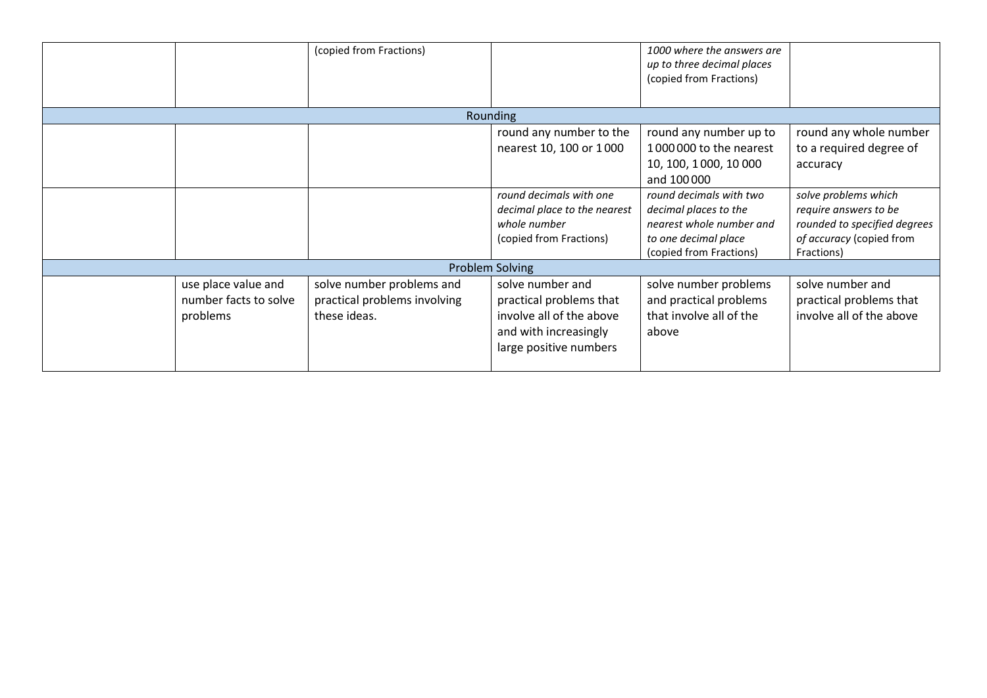|                                                          | (copied from Fractions)                                                   |                                                                                                                            | 1000 where the answers are<br>up to three decimal places<br>(copied from Fractions)                                             |                                                                                                                         |
|----------------------------------------------------------|---------------------------------------------------------------------------|----------------------------------------------------------------------------------------------------------------------------|---------------------------------------------------------------------------------------------------------------------------------|-------------------------------------------------------------------------------------------------------------------------|
|                                                          |                                                                           | <b>Rounding</b>                                                                                                            |                                                                                                                                 |                                                                                                                         |
|                                                          |                                                                           | round any number to the<br>nearest 10, 100 or 1000                                                                         | round any number up to<br>1000000 to the nearest<br>10, 100, 1000, 10 000<br>and 100000                                         | round any whole number<br>to a required degree of<br>accuracy                                                           |
|                                                          |                                                                           | round decimals with one<br>decimal place to the nearest<br>whole number<br>(copied from Fractions)                         | round decimals with two<br>decimal places to the<br>nearest whole number and<br>to one decimal place<br>(copied from Fractions) | solve problems which<br>require answers to be<br>rounded to specified degrees<br>of accuracy (copied from<br>Fractions) |
|                                                          |                                                                           | <b>Problem Solving</b>                                                                                                     |                                                                                                                                 |                                                                                                                         |
| use place value and<br>number facts to solve<br>problems | solve number problems and<br>practical problems involving<br>these ideas. | solve number and<br>practical problems that<br>involve all of the above<br>and with increasingly<br>large positive numbers | solve number problems<br>and practical problems<br>that involve all of the<br>above                                             | solve number and<br>practical problems that<br>involve all of the above                                                 |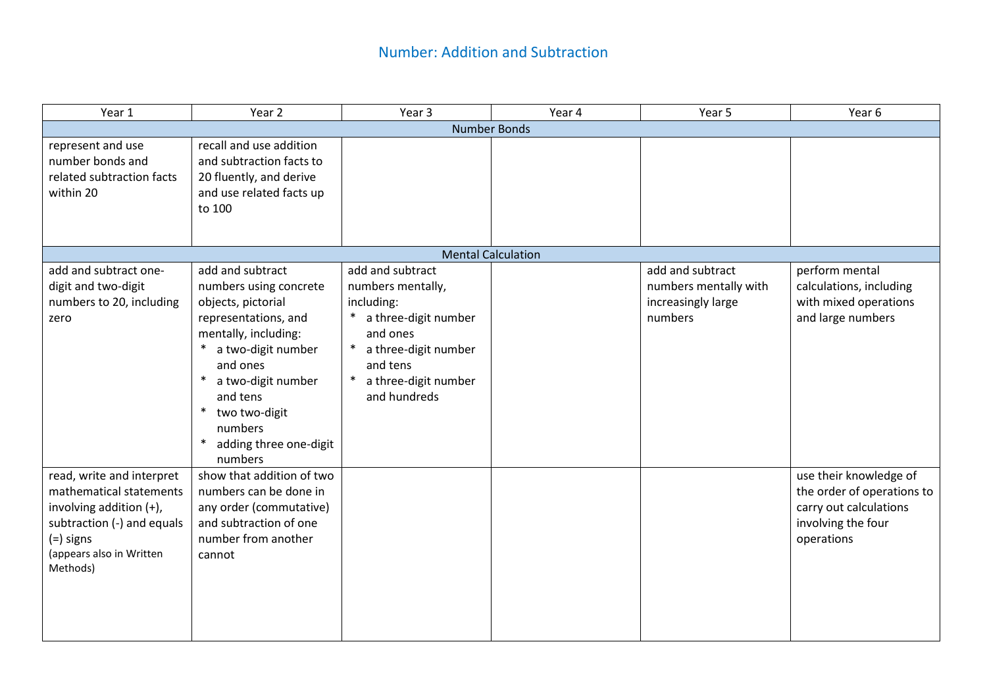| Year 1                                                                                                                                                             | Year 2                                                                                                                                                                                                                                                                              | Year 3                                                                                                                                                                            | Year 4                    | Year 5                                                                     | Year 6                                                                                                             |  |  |  |
|--------------------------------------------------------------------------------------------------------------------------------------------------------------------|-------------------------------------------------------------------------------------------------------------------------------------------------------------------------------------------------------------------------------------------------------------------------------------|-----------------------------------------------------------------------------------------------------------------------------------------------------------------------------------|---------------------------|----------------------------------------------------------------------------|--------------------------------------------------------------------------------------------------------------------|--|--|--|
|                                                                                                                                                                    | <b>Number Bonds</b>                                                                                                                                                                                                                                                                 |                                                                                                                                                                                   |                           |                                                                            |                                                                                                                    |  |  |  |
| represent and use<br>number bonds and<br>related subtraction facts<br>within 20                                                                                    | recall and use addition<br>and subtraction facts to<br>20 fluently, and derive<br>and use related facts up<br>to 100                                                                                                                                                                |                                                                                                                                                                                   |                           |                                                                            |                                                                                                                    |  |  |  |
|                                                                                                                                                                    |                                                                                                                                                                                                                                                                                     |                                                                                                                                                                                   | <b>Mental Calculation</b> |                                                                            |                                                                                                                    |  |  |  |
| add and subtract one-<br>digit and two-digit<br>numbers to 20, including<br>zero                                                                                   | add and subtract<br>numbers using concrete<br>objects, pictorial<br>representations, and<br>mentally, including:<br>a two-digit number<br>and ones<br>a two-digit number<br>$\ast$<br>and tens<br>$\ast$<br>two two-digit<br>numbers<br>$\ast$<br>adding three one-digit<br>numbers | add and subtract<br>numbers mentally,<br>including:<br>* a three-digit number<br>and ones<br>a three-digit number<br>$\ast$<br>and tens<br>* a three-digit number<br>and hundreds |                           | add and subtract<br>numbers mentally with<br>increasingly large<br>numbers | perform mental<br>calculations, including<br>with mixed operations<br>and large numbers                            |  |  |  |
| read, write and interpret<br>mathematical statements<br>involving addition (+),<br>subtraction (-) and equals<br>(=) signs<br>(appears also in Written<br>Methods) | show that addition of two<br>numbers can be done in<br>any order (commutative)<br>and subtraction of one<br>number from another<br>cannot                                                                                                                                           |                                                                                                                                                                                   |                           |                                                                            | use their knowledge of<br>the order of operations to<br>carry out calculations<br>involving the four<br>operations |  |  |  |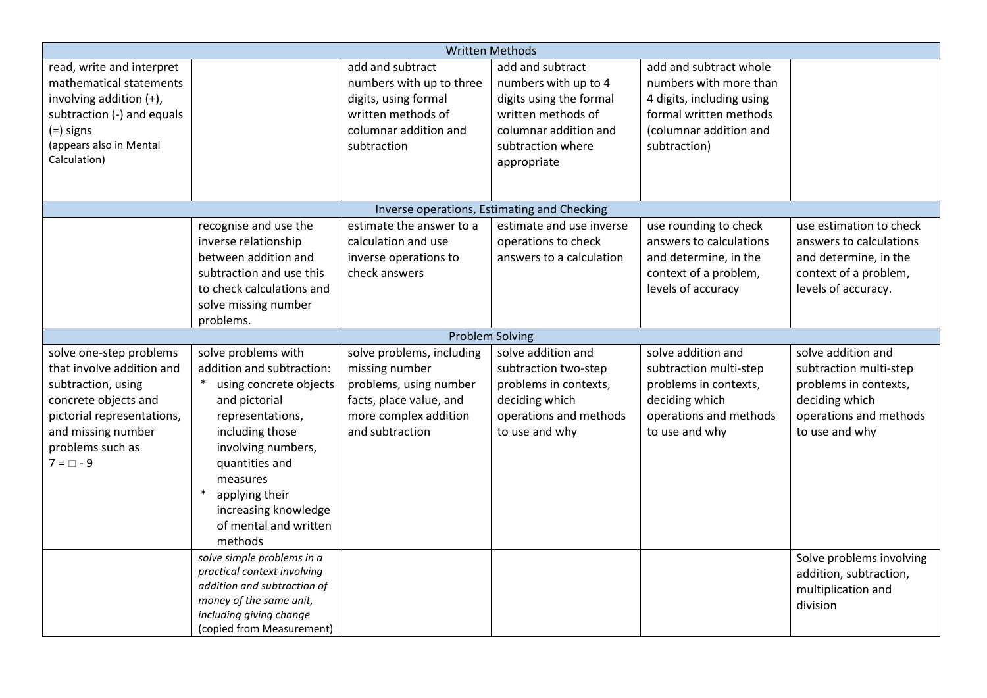|                            |                             |                           | <b>Written Methods</b>                      |                           |                          |
|----------------------------|-----------------------------|---------------------------|---------------------------------------------|---------------------------|--------------------------|
| read, write and interpret  |                             | add and subtract          | add and subtract                            | add and subtract whole    |                          |
| mathematical statements    |                             | numbers with up to three  | numbers with up to 4                        | numbers with more than    |                          |
| involving addition (+),    |                             | digits, using formal      | digits using the formal                     | 4 digits, including using |                          |
| subtraction (-) and equals |                             | written methods of        | written methods of                          | formal written methods    |                          |
| $(=)$ signs                |                             | columnar addition and     | columnar addition and                       | (columnar addition and    |                          |
| (appears also in Mental    |                             | subtraction               | subtraction where                           | subtraction)              |                          |
| Calculation)               |                             |                           | appropriate                                 |                           |                          |
|                            |                             |                           |                                             |                           |                          |
|                            |                             |                           |                                             |                           |                          |
|                            |                             |                           | Inverse operations, Estimating and Checking |                           |                          |
|                            | recognise and use the       | estimate the answer to a  | estimate and use inverse                    | use rounding to check     | use estimation to check  |
|                            | inverse relationship        | calculation and use       | operations to check                         | answers to calculations   | answers to calculations  |
|                            | between addition and        | inverse operations to     | answers to a calculation                    | and determine, in the     | and determine, in the    |
|                            | subtraction and use this    | check answers             |                                             | context of a problem,     | context of a problem,    |
|                            | to check calculations and   |                           |                                             | levels of accuracy        | levels of accuracy.      |
|                            | solve missing number        |                           |                                             |                           |                          |
|                            | problems.                   |                           |                                             |                           |                          |
|                            |                             |                           | <b>Problem Solving</b>                      |                           |                          |
| solve one-step problems    | solve problems with         | solve problems, including | solve addition and                          | solve addition and        | solve addition and       |
| that involve addition and  | addition and subtraction:   | missing number            | subtraction two-step                        | subtraction multi-step    | subtraction multi-step   |
| subtraction, using         | using concrete objects      | problems, using number    | problems in contexts,                       | problems in contexts,     | problems in contexts,    |
| concrete objects and       | and pictorial               | facts, place value, and   | deciding which                              | deciding which            | deciding which           |
| pictorial representations, | representations,            | more complex addition     | operations and methods                      | operations and methods    | operations and methods   |
| and missing number         | including those             | and subtraction           | to use and why                              | to use and why            | to use and why           |
| problems such as           | involving numbers,          |                           |                                             |                           |                          |
| $7 = \Box - 9$             | quantities and              |                           |                                             |                           |                          |
|                            | measures                    |                           |                                             |                           |                          |
|                            | $\ast$<br>applying their    |                           |                                             |                           |                          |
|                            | increasing knowledge        |                           |                                             |                           |                          |
|                            | of mental and written       |                           |                                             |                           |                          |
|                            | methods                     |                           |                                             |                           |                          |
|                            | solve simple problems in a  |                           |                                             |                           | Solve problems involving |
|                            | practical context involving |                           |                                             |                           | addition, subtraction,   |
|                            | addition and subtraction of |                           |                                             |                           | multiplication and       |
|                            | money of the same unit,     |                           |                                             |                           | division                 |
|                            | including giving change     |                           |                                             |                           |                          |
|                            | (copied from Measurement)   |                           |                                             |                           |                          |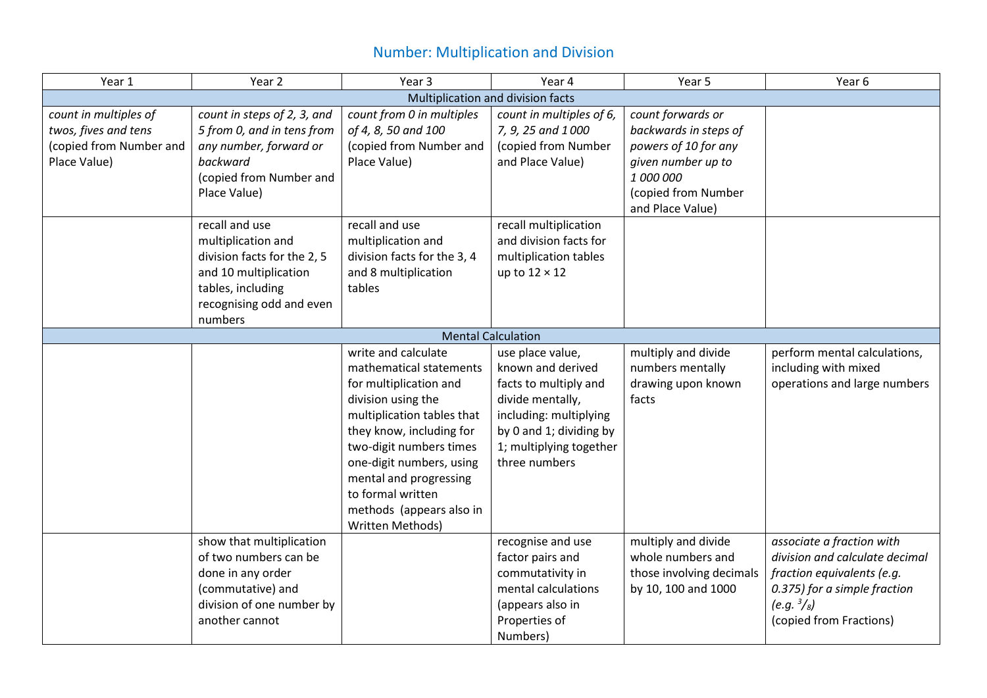# Number: Multiplication and Division

| Year 1                  | Year 2                            | Year 3                      | Year 4                    | Year 5                   | Year 6                         |  |  |  |
|-------------------------|-----------------------------------|-----------------------------|---------------------------|--------------------------|--------------------------------|--|--|--|
|                         | Multiplication and division facts |                             |                           |                          |                                |  |  |  |
| count in multiples of   | count in steps of 2, 3, and       | count from 0 in multiples   | count in multiples of 6,  | count forwards or        |                                |  |  |  |
| twos, fives and tens    | 5 from 0, and in tens from        | of 4, 8, 50 and 100         | 7, 9, 25 and 1000         | backwards in steps of    |                                |  |  |  |
| (copied from Number and | any number, forward or            | (copied from Number and     | (copied from Number       | powers of 10 for any     |                                |  |  |  |
| Place Value)            | backward                          | Place Value)                | and Place Value)          | given number up to       |                                |  |  |  |
|                         | (copied from Number and           |                             |                           | 1 000 000                |                                |  |  |  |
|                         | Place Value)                      |                             |                           | (copied from Number      |                                |  |  |  |
|                         |                                   |                             |                           | and Place Value)         |                                |  |  |  |
|                         | recall and use                    | recall and use              | recall multiplication     |                          |                                |  |  |  |
|                         | multiplication and                | multiplication and          | and division facts for    |                          |                                |  |  |  |
|                         | division facts for the 2, 5       | division facts for the 3, 4 | multiplication tables     |                          |                                |  |  |  |
|                         | and 10 multiplication             | and 8 multiplication        | up to $12 \times 12$      |                          |                                |  |  |  |
|                         | tables, including                 | tables                      |                           |                          |                                |  |  |  |
|                         | recognising odd and even          |                             |                           |                          |                                |  |  |  |
|                         | numbers                           |                             |                           |                          |                                |  |  |  |
|                         |                                   |                             | <b>Mental Calculation</b> |                          |                                |  |  |  |
|                         |                                   | write and calculate         | use place value,          | multiply and divide      | perform mental calculations,   |  |  |  |
|                         |                                   | mathematical statements     | known and derived         | numbers mentally         | including with mixed           |  |  |  |
|                         |                                   | for multiplication and      | facts to multiply and     | drawing upon known       | operations and large numbers   |  |  |  |
|                         |                                   | division using the          | divide mentally,          | facts                    |                                |  |  |  |
|                         |                                   | multiplication tables that  | including: multiplying    |                          |                                |  |  |  |
|                         |                                   | they know, including for    | by 0 and 1; dividing by   |                          |                                |  |  |  |
|                         |                                   | two-digit numbers times     | 1; multiplying together   |                          |                                |  |  |  |
|                         |                                   | one-digit numbers, using    | three numbers             |                          |                                |  |  |  |
|                         |                                   | mental and progressing      |                           |                          |                                |  |  |  |
|                         |                                   | to formal written           |                           |                          |                                |  |  |  |
|                         |                                   | methods (appears also in    |                           |                          |                                |  |  |  |
|                         |                                   | Written Methods)            |                           |                          |                                |  |  |  |
|                         | show that multiplication          |                             | recognise and use         | multiply and divide      | associate a fraction with      |  |  |  |
|                         | of two numbers can be             |                             | factor pairs and          | whole numbers and        | division and calculate decimal |  |  |  |
|                         | done in any order                 |                             | commutativity in          | those involving decimals | fraction equivalents (e.g.     |  |  |  |
|                         | (commutative) and                 |                             | mental calculations       | by 10, 100 and 1000      | 0.375) for a simple fraction   |  |  |  |
|                         | division of one number by         |                             | (appears also in          |                          | $(e.g. \frac{3}{8})$           |  |  |  |
|                         | another cannot                    |                             | Properties of             |                          | (copied from Fractions)        |  |  |  |
|                         |                                   |                             | Numbers)                  |                          |                                |  |  |  |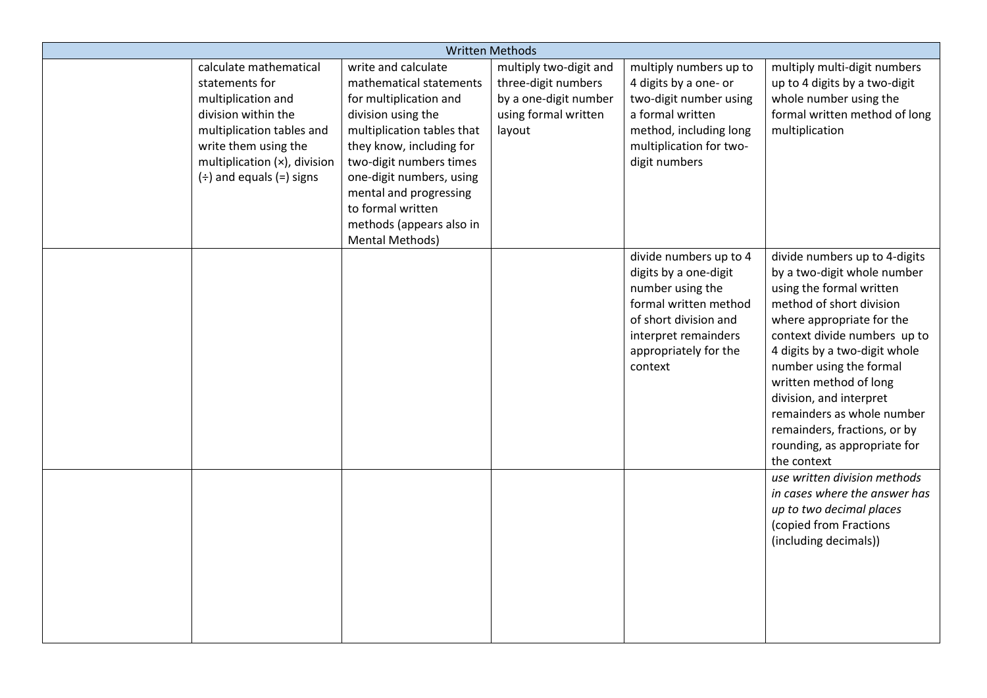| <b>Written Methods</b> |                                                                                                                                                                                                             |                                                                                                                                                                                                                                                                                                               |                                                                                                          |                                                                                                                                                                                   |                                                                                                                                                                                                                                                                                                                                                                                                                 |  |  |
|------------------------|-------------------------------------------------------------------------------------------------------------------------------------------------------------------------------------------------------------|---------------------------------------------------------------------------------------------------------------------------------------------------------------------------------------------------------------------------------------------------------------------------------------------------------------|----------------------------------------------------------------------------------------------------------|-----------------------------------------------------------------------------------------------------------------------------------------------------------------------------------|-----------------------------------------------------------------------------------------------------------------------------------------------------------------------------------------------------------------------------------------------------------------------------------------------------------------------------------------------------------------------------------------------------------------|--|--|
|                        | calculate mathematical<br>statements for<br>multiplication and<br>division within the<br>multiplication tables and<br>write them using the<br>multiplication (x), division<br>$(\div)$ and equals (=) signs | write and calculate<br>mathematical statements<br>for multiplication and<br>division using the<br>multiplication tables that<br>they know, including for<br>two-digit numbers times<br>one-digit numbers, using<br>mental and progressing<br>to formal written<br>methods (appears also in<br>Mental Methods) | multiply two-digit and<br>three-digit numbers<br>by a one-digit number<br>using formal written<br>layout | multiply numbers up to<br>4 digits by a one- or<br>two-digit number using<br>a formal written<br>method, including long<br>multiplication for two-<br>digit numbers               | multiply multi-digit numbers<br>up to 4 digits by a two-digit<br>whole number using the<br>formal written method of long<br>multiplication                                                                                                                                                                                                                                                                      |  |  |
|                        |                                                                                                                                                                                                             |                                                                                                                                                                                                                                                                                                               |                                                                                                          | divide numbers up to 4<br>digits by a one-digit<br>number using the<br>formal written method<br>of short division and<br>interpret remainders<br>appropriately for the<br>context | divide numbers up to 4-digits<br>by a two-digit whole number<br>using the formal written<br>method of short division<br>where appropriate for the<br>context divide numbers up to<br>4 digits by a two-digit whole<br>number using the formal<br>written method of long<br>division, and interpret<br>remainders as whole number<br>remainders, fractions, or by<br>rounding, as appropriate for<br>the context |  |  |
|                        |                                                                                                                                                                                                             |                                                                                                                                                                                                                                                                                                               |                                                                                                          |                                                                                                                                                                                   | use written division methods<br>in cases where the answer has<br>up to two decimal places<br>(copied from Fractions<br>(including decimals))                                                                                                                                                                                                                                                                    |  |  |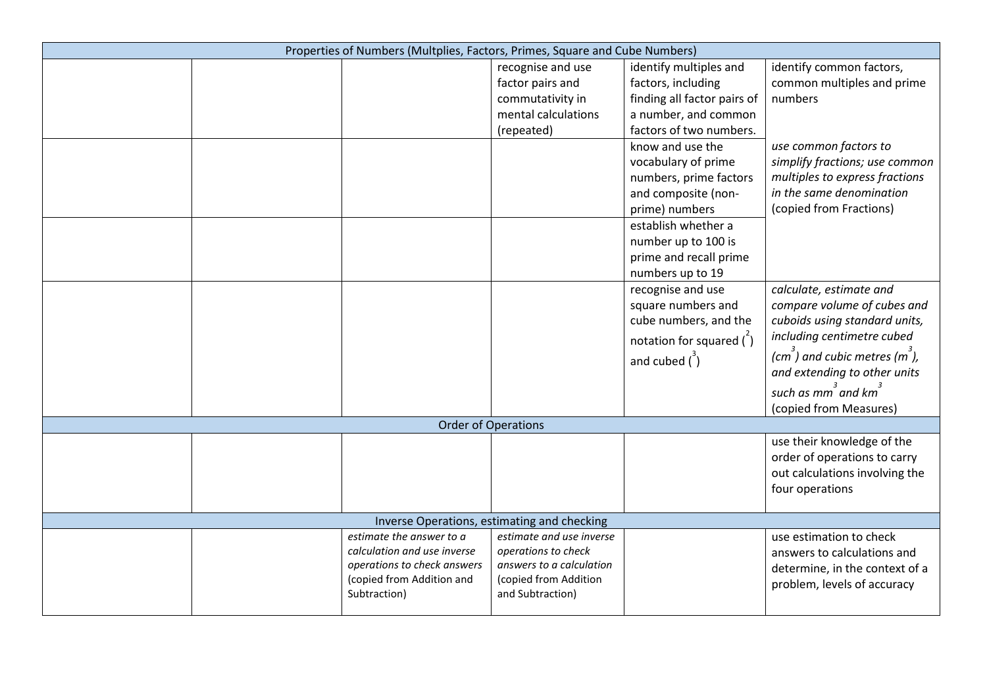| Properties of Numbers (Multplies, Factors, Primes, Square and Cube Numbers) |                                           |                                     |                                   |
|-----------------------------------------------------------------------------|-------------------------------------------|-------------------------------------|-----------------------------------|
|                                                                             | recognise and use                         | identify multiples and              | identify common factors,          |
|                                                                             | factor pairs and                          | factors, including                  | common multiples and prime        |
|                                                                             | commutativity in                          | finding all factor pairs of         | numbers                           |
|                                                                             | mental calculations                       | a number, and common                |                                   |
|                                                                             | (repeated)                                | factors of two numbers.             |                                   |
|                                                                             |                                           | know and use the                    | use common factors to             |
|                                                                             |                                           | vocabulary of prime                 | simplify fractions; use common    |
|                                                                             |                                           | numbers, prime factors              | multiples to express fractions    |
|                                                                             |                                           | and composite (non-                 | in the same denomination          |
|                                                                             |                                           | prime) numbers                      | (copied from Fractions)           |
|                                                                             |                                           | establish whether a                 |                                   |
|                                                                             |                                           | number up to 100 is                 |                                   |
|                                                                             |                                           | prime and recall prime              |                                   |
|                                                                             |                                           | numbers up to 19                    |                                   |
|                                                                             |                                           | recognise and use                   | calculate, estimate and           |
|                                                                             |                                           | square numbers and                  | compare volume of cubes and       |
|                                                                             |                                           | cube numbers, and the               | cuboids using standard units,     |
|                                                                             |                                           | notation for squared $\binom{2}{1}$ | including centimetre cubed        |
|                                                                             |                                           |                                     | $(cm )$ and cubic metres $(m )$ , |
|                                                                             |                                           | and cubed $\binom{3}{1}$            | and extending to other units      |
|                                                                             |                                           |                                     |                                   |
|                                                                             |                                           |                                     | such as $mm^3$ and $km^3$         |
|                                                                             |                                           |                                     | (copied from Measures)            |
| <b>Order of Operations</b>                                                  |                                           |                                     |                                   |
|                                                                             |                                           |                                     | use their knowledge of the        |
|                                                                             |                                           |                                     | order of operations to carry      |
|                                                                             |                                           |                                     | out calculations involving the    |
|                                                                             |                                           |                                     | four operations                   |
|                                                                             |                                           |                                     |                                   |
| Inverse Operations, estimating and checking                                 |                                           |                                     |                                   |
| estimate the answer to a                                                    | estimate and use inverse                  |                                     | use estimation to check           |
| calculation and use inverse                                                 | operations to check                       |                                     | answers to calculations and       |
|                                                                             |                                           |                                     |                                   |
| operations to check answers                                                 | answers to a calculation                  |                                     | determine, in the context of a    |
| (copied from Addition and<br>Subtraction)                                   | (copied from Addition<br>and Subtraction) |                                     | problem, levels of accuracy       |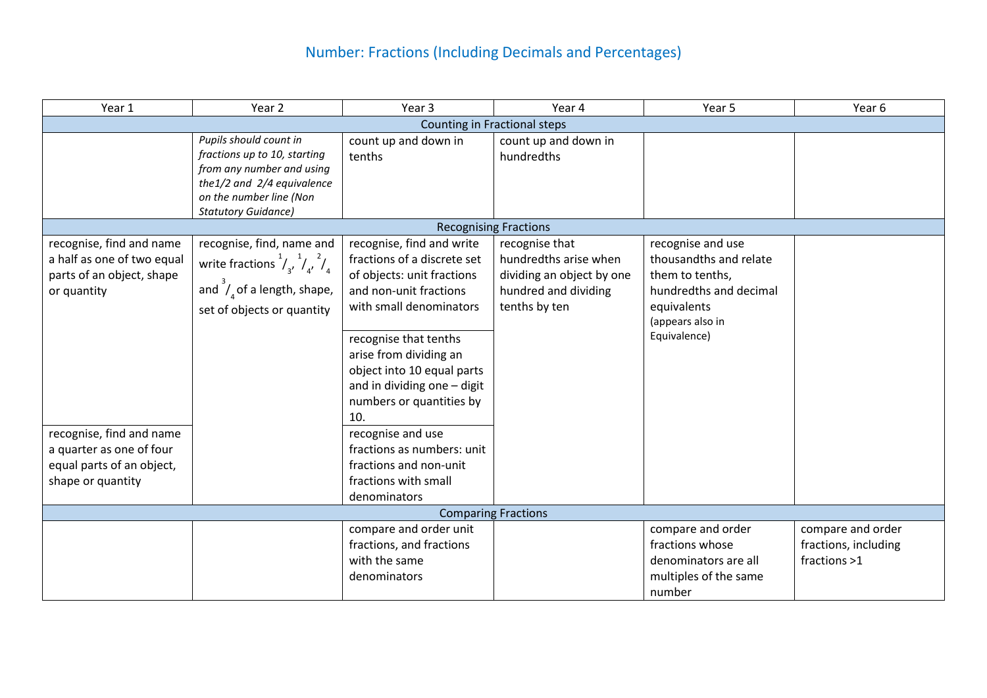# Number: Fractions (Including Decimals and Percentages)

| Year 1                                                                                                 | Year 2                                                                                                                                                                     | Year 3                                                                                                                                                                                                                                                                                         | Year 4                                                                                                        | Year 5                                                                                                                                      | Year 6                                                    |  |  |  |  |
|--------------------------------------------------------------------------------------------------------|----------------------------------------------------------------------------------------------------------------------------------------------------------------------------|------------------------------------------------------------------------------------------------------------------------------------------------------------------------------------------------------------------------------------------------------------------------------------------------|---------------------------------------------------------------------------------------------------------------|---------------------------------------------------------------------------------------------------------------------------------------------|-----------------------------------------------------------|--|--|--|--|
|                                                                                                        | Counting in Fractional steps                                                                                                                                               |                                                                                                                                                                                                                                                                                                |                                                                                                               |                                                                                                                                             |                                                           |  |  |  |  |
|                                                                                                        | Pupils should count in<br>fractions up to 10, starting<br>from any number and using<br>the1/2 and 2/4 equivalence<br>on the number line (Non<br><b>Statutory Guidance)</b> | count up and down in<br>tenths                                                                                                                                                                                                                                                                 | count up and down in<br>hundredths                                                                            |                                                                                                                                             |                                                           |  |  |  |  |
|                                                                                                        |                                                                                                                                                                            |                                                                                                                                                                                                                                                                                                | <b>Recognising Fractions</b>                                                                                  |                                                                                                                                             |                                                           |  |  |  |  |
| recognise, find and name<br>a half as one of two equal<br>parts of an object, shape<br>or quantity     | recognise, find, name and<br>write fractions $\frac{1}{3}$ , $\frac{1}{4}$ , $\frac{2}{4}$<br>and $\int_{4}^{3}$ of a length, shape,<br>set of objects or quantity         | recognise, find and write<br>fractions of a discrete set<br>of objects: unit fractions<br>and non-unit fractions<br>with small denominators<br>recognise that tenths<br>arise from dividing an<br>object into 10 equal parts<br>and in dividing one - digit<br>numbers or quantities by<br>10. | recognise that<br>hundredths arise when<br>dividing an object by one<br>hundred and dividing<br>tenths by ten | recognise and use<br>thousandths and relate<br>them to tenths,<br>hundredths and decimal<br>equivalents<br>(appears also in<br>Equivalence) |                                                           |  |  |  |  |
| recognise, find and name<br>a quarter as one of four<br>equal parts of an object,<br>shape or quantity |                                                                                                                                                                            | recognise and use<br>fractions as numbers: unit<br>fractions and non-unit<br>fractions with small<br>denominators                                                                                                                                                                              |                                                                                                               |                                                                                                                                             |                                                           |  |  |  |  |
|                                                                                                        |                                                                                                                                                                            |                                                                                                                                                                                                                                                                                                | <b>Comparing Fractions</b>                                                                                    |                                                                                                                                             |                                                           |  |  |  |  |
|                                                                                                        |                                                                                                                                                                            | compare and order unit<br>fractions, and fractions<br>with the same<br>denominators                                                                                                                                                                                                            |                                                                                                               | compare and order<br>fractions whose<br>denominators are all<br>multiples of the same<br>number                                             | compare and order<br>fractions, including<br>fractions >1 |  |  |  |  |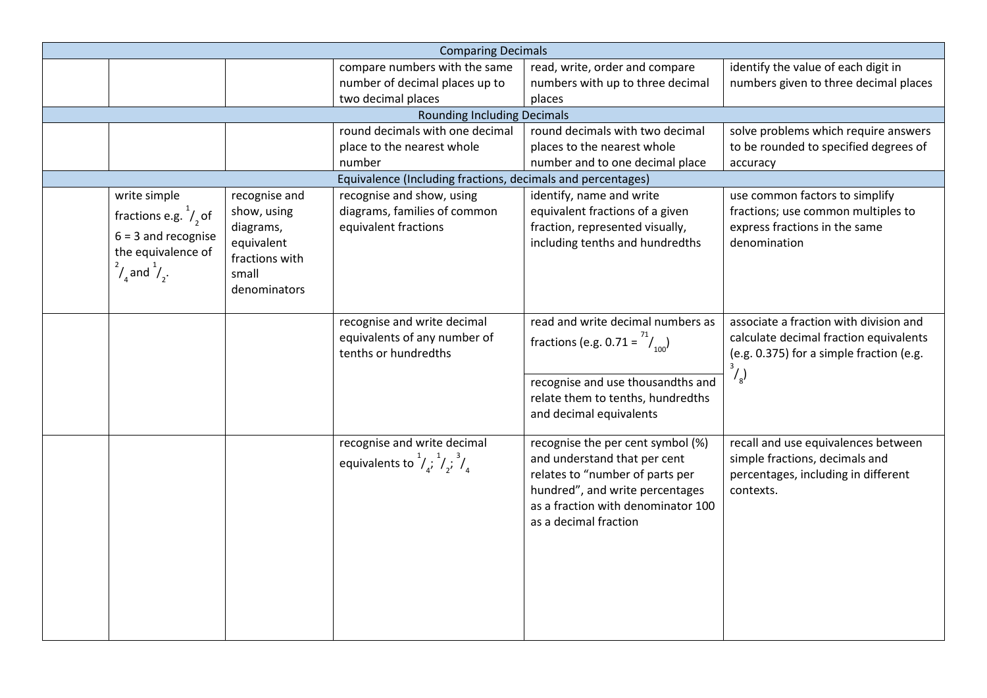|                                                                                                                                     |                                                                                                    | <b>Comparing Decimals</b>                                                                   |                                                                                                                                                                                                        |                                                                                                                                                               |
|-------------------------------------------------------------------------------------------------------------------------------------|----------------------------------------------------------------------------------------------------|---------------------------------------------------------------------------------------------|--------------------------------------------------------------------------------------------------------------------------------------------------------------------------------------------------------|---------------------------------------------------------------------------------------------------------------------------------------------------------------|
|                                                                                                                                     |                                                                                                    | compare numbers with the same                                                               | read, write, order and compare                                                                                                                                                                         | identify the value of each digit in                                                                                                                           |
|                                                                                                                                     |                                                                                                    | number of decimal places up to                                                              | numbers with up to three decimal                                                                                                                                                                       | numbers given to three decimal places                                                                                                                         |
|                                                                                                                                     |                                                                                                    | two decimal places                                                                          | places                                                                                                                                                                                                 |                                                                                                                                                               |
|                                                                                                                                     |                                                                                                    | <b>Rounding Including Decimals</b>                                                          |                                                                                                                                                                                                        |                                                                                                                                                               |
|                                                                                                                                     |                                                                                                    | round decimals with one decimal                                                             | round decimals with two decimal                                                                                                                                                                        | solve problems which require answers                                                                                                                          |
|                                                                                                                                     |                                                                                                    | place to the nearest whole                                                                  | places to the nearest whole                                                                                                                                                                            | to be rounded to specified degrees of                                                                                                                         |
|                                                                                                                                     |                                                                                                    | number                                                                                      | number and to one decimal place                                                                                                                                                                        | accuracy                                                                                                                                                      |
|                                                                                                                                     |                                                                                                    | Equivalence (Including fractions, decimals and percentages)                                 |                                                                                                                                                                                                        |                                                                                                                                                               |
| write simple<br>fractions e.g. $\frac{1}{2}$ of<br>$6 = 3$ and recognise<br>the equivalence of<br>$\frac{2}{4}$ and $\frac{1}{2}$ . | recognise and<br>show, using<br>diagrams,<br>equivalent<br>fractions with<br>small<br>denominators | recognise and show, using<br>diagrams, families of common<br>equivalent fractions           | identify, name and write<br>equivalent fractions of a given<br>fraction, represented visually,<br>including tenths and hundredths                                                                      | use common factors to simplify<br>fractions; use common multiples to<br>express fractions in the same<br>denomination                                         |
|                                                                                                                                     |                                                                                                    | recognise and write decimal<br>equivalents of any number of<br>tenths or hundredths         | read and write decimal numbers as<br>fractions (e.g. 0.71 = $\frac{1}{100}$ )<br>recognise and use thousandths and<br>relate them to tenths, hundredths<br>and decimal equivalents                     | associate a fraction with division and<br>calculate decimal fraction equivalents<br>(e.g. 0.375) for a simple fraction (e.g.<br>$\frac{3}{3}$ / $\frac{3}{8}$ |
|                                                                                                                                     |                                                                                                    | recognise and write decimal<br>equivalents to $\frac{1}{4}$ , $\frac{1}{4}$ , $\frac{3}{4}$ | recognise the per cent symbol (%)<br>and understand that per cent<br>relates to "number of parts per<br>hundred", and write percentages<br>as a fraction with denominator 100<br>as a decimal fraction | recall and use equivalences between<br>simple fractions, decimals and<br>percentages, including in different<br>contexts.                                     |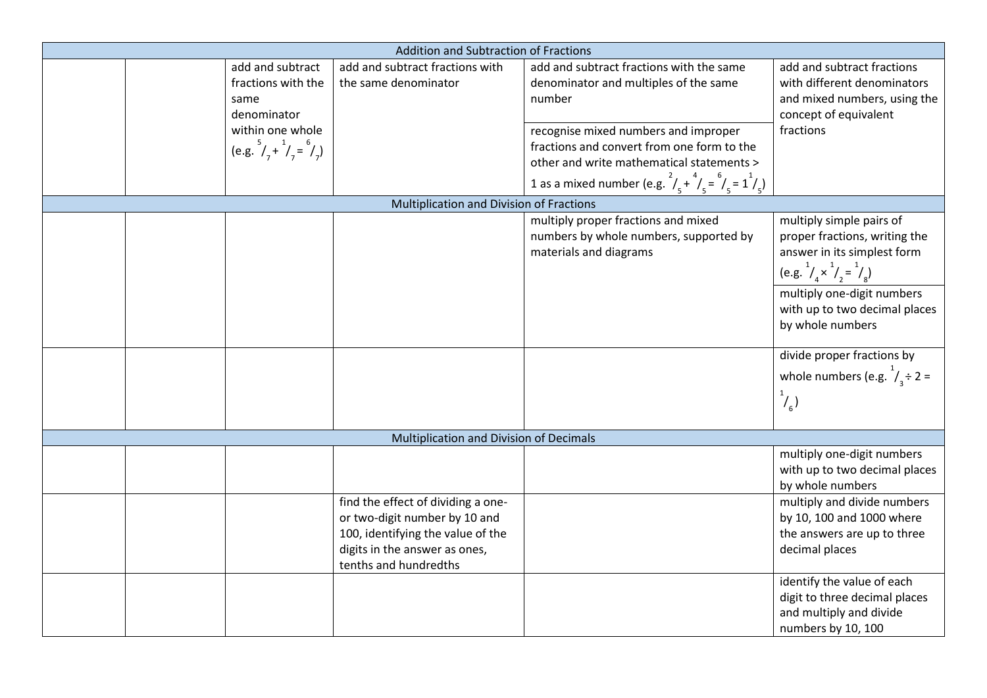|  |                                                                                                                                  | <b>Addition and Subtraction of Fractions</b>                                                                                                                       |                                                                                                                                                                                                                                                                                                                        |                                                                                                                                              |
|--|----------------------------------------------------------------------------------------------------------------------------------|--------------------------------------------------------------------------------------------------------------------------------------------------------------------|------------------------------------------------------------------------------------------------------------------------------------------------------------------------------------------------------------------------------------------------------------------------------------------------------------------------|----------------------------------------------------------------------------------------------------------------------------------------------|
|  | add and subtract<br>fractions with the<br>same<br>denominator<br>within one whole<br>(e.g. $^{5}/_{7} + ^{1}/_{7} = ^{6}/_{7}$ ) | add and subtract fractions with<br>the same denominator                                                                                                            | add and subtract fractions with the same<br>denominator and multiples of the same<br>number<br>recognise mixed numbers and improper<br>fractions and convert from one form to the<br>other and write mathematical statements ><br>1 as a mixed number (e.g. $\frac{2}{5} + \frac{4}{5} = \frac{6}{5} = 1\frac{1}{5}$ ) | add and subtract fractions<br>with different denominators<br>and mixed numbers, using the<br>concept of equivalent<br>fractions              |
|  |                                                                                                                                  | Multiplication and Division of Fractions                                                                                                                           |                                                                                                                                                                                                                                                                                                                        |                                                                                                                                              |
|  |                                                                                                                                  |                                                                                                                                                                    | multiply proper fractions and mixed<br>numbers by whole numbers, supported by<br>materials and diagrams                                                                                                                                                                                                                | multiply simple pairs of<br>proper fractions, writing the<br>answer in its simplest form<br>(e.g. $^{1}/_{4} \times ^{1}/_{2} = ^{1}/_{8}$ ) |
|  |                                                                                                                                  |                                                                                                                                                                    |                                                                                                                                                                                                                                                                                                                        | multiply one-digit numbers<br>with up to two decimal places<br>by whole numbers                                                              |
|  |                                                                                                                                  |                                                                                                                                                                    |                                                                                                                                                                                                                                                                                                                        | divide proper fractions by<br>whole numbers (e.g. $1/2$ =<br>$\binom{1}{6}$                                                                  |
|  |                                                                                                                                  | Multiplication and Division of Decimals                                                                                                                            |                                                                                                                                                                                                                                                                                                                        |                                                                                                                                              |
|  |                                                                                                                                  |                                                                                                                                                                    |                                                                                                                                                                                                                                                                                                                        | multiply one-digit numbers<br>with up to two decimal places<br>by whole numbers                                                              |
|  |                                                                                                                                  | find the effect of dividing a one-<br>or two-digit number by 10 and<br>100, identifying the value of the<br>digits in the answer as ones,<br>tenths and hundredths |                                                                                                                                                                                                                                                                                                                        | multiply and divide numbers<br>by 10, 100 and 1000 where<br>the answers are up to three<br>decimal places                                    |
|  |                                                                                                                                  |                                                                                                                                                                    |                                                                                                                                                                                                                                                                                                                        | identify the value of each<br>digit to three decimal places<br>and multiply and divide<br>numbers by 10, 100                                 |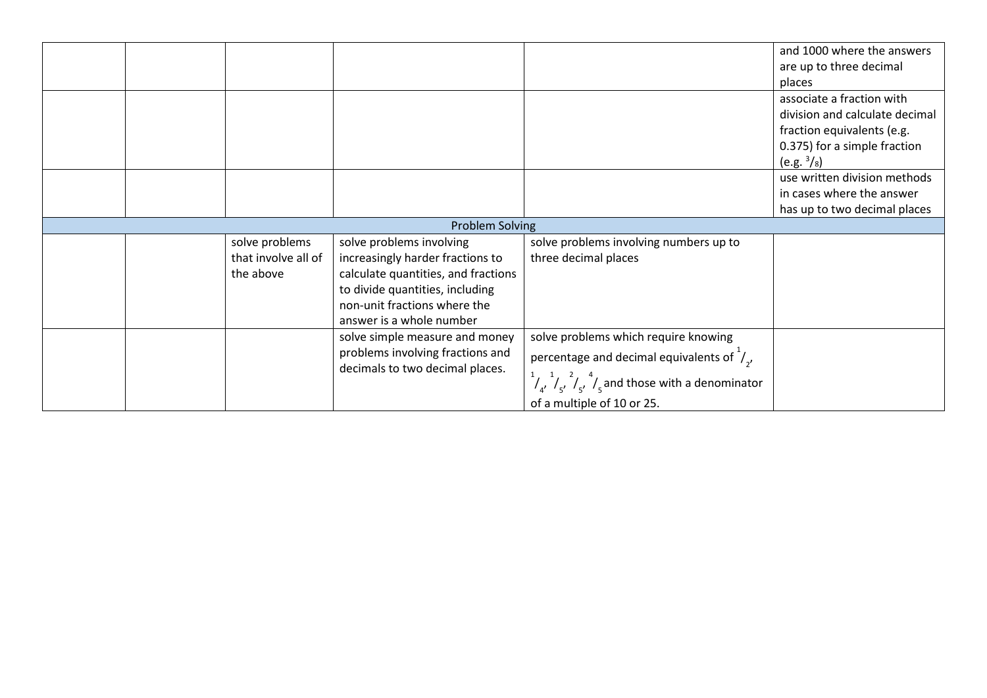|  |                     |                                                                     |                                                                                         | and 1000 where the answers     |
|--|---------------------|---------------------------------------------------------------------|-----------------------------------------------------------------------------------------|--------------------------------|
|  |                     |                                                                     |                                                                                         | are up to three decimal        |
|  |                     |                                                                     |                                                                                         | places                         |
|  |                     |                                                                     |                                                                                         | associate a fraction with      |
|  |                     |                                                                     |                                                                                         | division and calculate decimal |
|  |                     |                                                                     |                                                                                         | fraction equivalents (e.g.     |
|  |                     |                                                                     |                                                                                         | 0.375) for a simple fraction   |
|  |                     |                                                                     |                                                                                         | $(e.g. \frac{3}{8})$           |
|  |                     |                                                                     |                                                                                         | use written division methods   |
|  |                     |                                                                     |                                                                                         | in cases where the answer      |
|  |                     |                                                                     |                                                                                         | has up to two decimal places   |
|  |                     | <b>Problem Solving</b>                                              |                                                                                         |                                |
|  | solve problems      | solve problems involving                                            | solve problems involving numbers up to                                                  |                                |
|  | that involve all of | increasingly harder fractions to                                    | three decimal places                                                                    |                                |
|  | the above           | calculate quantities, and fractions                                 |                                                                                         |                                |
|  |                     | to divide quantities, including                                     |                                                                                         |                                |
|  |                     | non-unit fractions where the                                        |                                                                                         |                                |
|  |                     | answer is a whole number                                            |                                                                                         |                                |
|  |                     | solve simple measure and money                                      | solve problems which require knowing                                                    |                                |
|  |                     | problems involving fractions and<br>decimals to two decimal places. | percentage and decimal equivalents of $\frac{1}{2}$ ,                                   |                                |
|  |                     |                                                                     | $\frac{1}{4}$ $\int_{4}^{1}$ $\int_{5}^{2}$ $\int_{5}^{4}$ and those with a denominator |                                |
|  |                     |                                                                     | of a multiple of 10 or 25.                                                              |                                |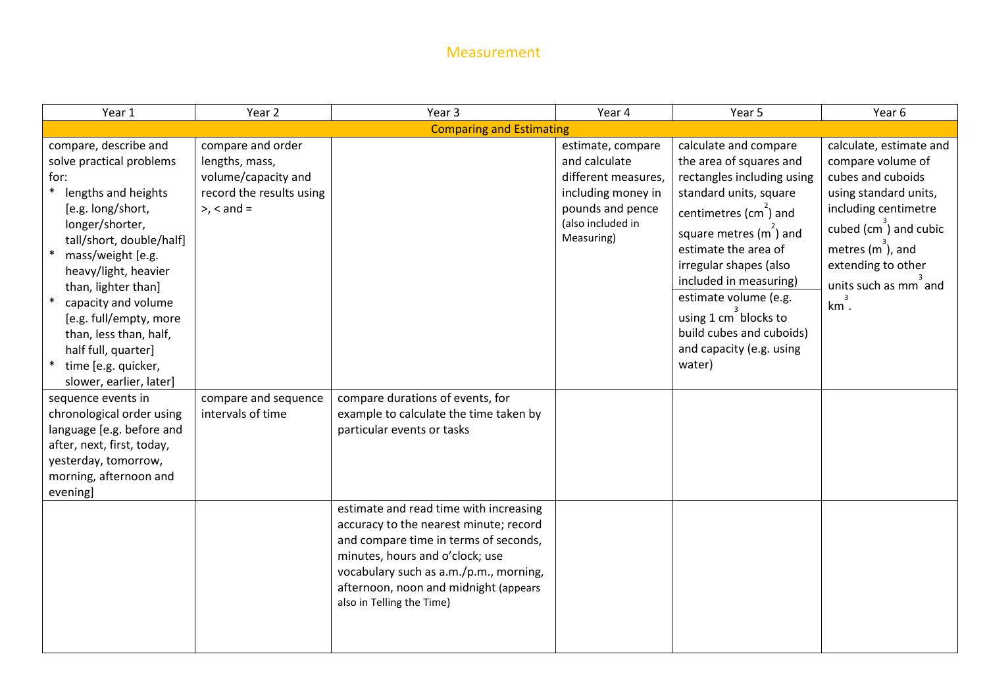#### Measurement

| Year 1                                                                                                                                                                                                                                                                                                                                                                       | Year 2                                                                                                      | Year 3                                                                                                                                                                                                                             | Year 4                                                                                                                                 | Year 5                                                                                                                                                                                                                                                                                                                                                                              | Year 6                                                                                                                                                                                                                     |  |  |  |
|------------------------------------------------------------------------------------------------------------------------------------------------------------------------------------------------------------------------------------------------------------------------------------------------------------------------------------------------------------------------------|-------------------------------------------------------------------------------------------------------------|------------------------------------------------------------------------------------------------------------------------------------------------------------------------------------------------------------------------------------|----------------------------------------------------------------------------------------------------------------------------------------|-------------------------------------------------------------------------------------------------------------------------------------------------------------------------------------------------------------------------------------------------------------------------------------------------------------------------------------------------------------------------------------|----------------------------------------------------------------------------------------------------------------------------------------------------------------------------------------------------------------------------|--|--|--|
|                                                                                                                                                                                                                                                                                                                                                                              | <b>Comparing and Estimating</b>                                                                             |                                                                                                                                                                                                                                    |                                                                                                                                        |                                                                                                                                                                                                                                                                                                                                                                                     |                                                                                                                                                                                                                            |  |  |  |
| compare, describe and<br>solve practical problems<br>for:<br>lengths and heights<br>[e.g. long/short,<br>longer/shorter,<br>tall/short, double/half]<br>mass/weight [e.g.<br>heavy/light, heavier<br>than, lighter than]<br>capacity and volume<br>[e.g. full/empty, more<br>than, less than, half,<br>half full, quarter]<br>time [e.g. quicker,<br>slower, earlier, later] | compare and order<br>lengths, mass,<br>volume/capacity and<br>record the results using<br>$>$ , $<$ and $=$ |                                                                                                                                                                                                                                    | estimate, compare<br>and calculate<br>different measures,<br>including money in<br>pounds and pence<br>(also included in<br>Measuring) | calculate and compare<br>the area of squares and<br>rectangles including using<br>standard units, square<br>centimetres (cm) and<br>square metres (m <sup>2</sup> ) and<br>estimate the area of<br>irregular shapes (also<br>included in measuring)<br>estimate volume (e.g.<br>using 1 cm <sup>3</sup> blocks to<br>build cubes and cuboids)<br>and capacity (e.g. using<br>water) | calculate, estimate and<br>compare volume of<br>cubes and cuboids<br>using standard units,<br>including centimetre<br>cubed $(cm^3)$ and cubic<br>metres $(m3)$ , and<br>extending to other<br>units such as mm and<br>km. |  |  |  |
| sequence events in<br>chronological order using<br>language [e.g. before and<br>after, next, first, today,<br>yesterday, tomorrow,<br>morning, afternoon and<br>evening]                                                                                                                                                                                                     | compare and sequence<br>intervals of time                                                                   | compare durations of events, for<br>example to calculate the time taken by<br>particular events or tasks<br>estimate and read time with increasing                                                                                 |                                                                                                                                        |                                                                                                                                                                                                                                                                                                                                                                                     |                                                                                                                                                                                                                            |  |  |  |
|                                                                                                                                                                                                                                                                                                                                                                              |                                                                                                             | accuracy to the nearest minute; record<br>and compare time in terms of seconds,<br>minutes, hours and o'clock; use<br>vocabulary such as a.m./p.m., morning,<br>afternoon, noon and midnight (appears<br>also in Telling the Time) |                                                                                                                                        |                                                                                                                                                                                                                                                                                                                                                                                     |                                                                                                                                                                                                                            |  |  |  |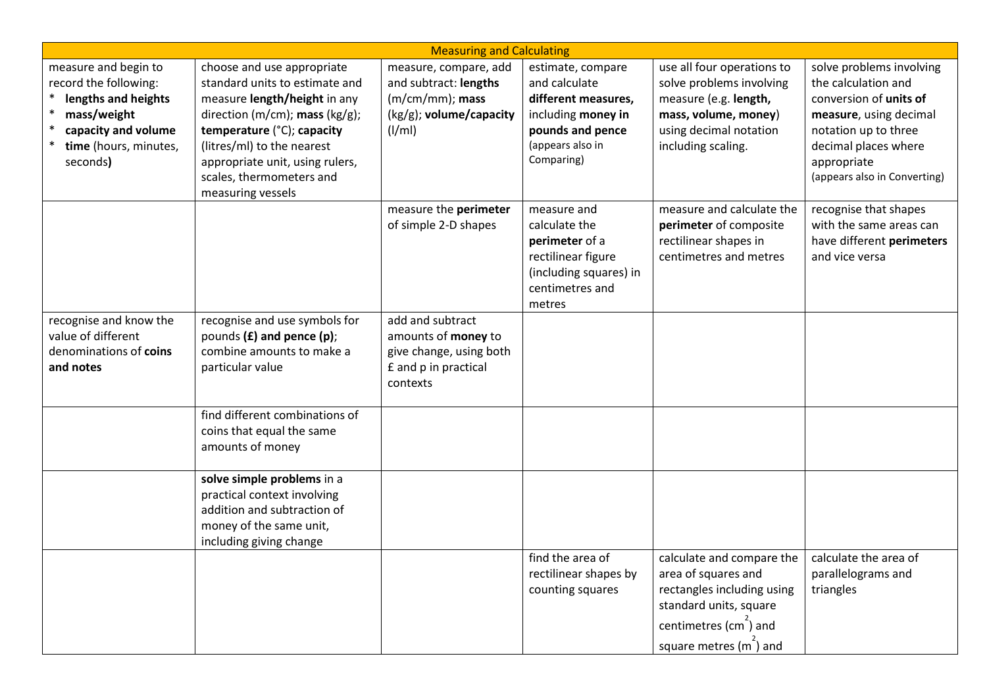| <b>Measuring and Calculating</b>                                                                                                                |                                                                                                                                                                                                                                                                                |                                                                                                           |                                                                                                                                       |                                                                                                                                                                                       |                                                                                                                                                                                                    |  |
|-------------------------------------------------------------------------------------------------------------------------------------------------|--------------------------------------------------------------------------------------------------------------------------------------------------------------------------------------------------------------------------------------------------------------------------------|-----------------------------------------------------------------------------------------------------------|---------------------------------------------------------------------------------------------------------------------------------------|---------------------------------------------------------------------------------------------------------------------------------------------------------------------------------------|----------------------------------------------------------------------------------------------------------------------------------------------------------------------------------------------------|--|
| measure and begin to<br>record the following:<br>lengths and heights<br>mass/weight<br>capacity and volume<br>time (hours, minutes,<br>seconds) | choose and use appropriate<br>standard units to estimate and<br>measure length/height in any<br>direction (m/cm); mass (kg/g);<br>temperature (°C); capacity<br>(litres/ml) to the nearest<br>appropriate unit, using rulers,<br>scales, thermometers and<br>measuring vessels | measure, compare, add<br>and subtract: lengths<br>$(m/cm/mm)$ ; mass<br>(kg/g); volume/capacity<br>(I/ml) | estimate, compare<br>and calculate<br>different measures,<br>including money in<br>pounds and pence<br>(appears also in<br>Comparing) | use all four operations to<br>solve problems involving<br>measure (e.g. length,<br>mass, volume, money)<br>using decimal notation<br>including scaling.                               | solve problems involving<br>the calculation and<br>conversion of units of<br>measure, using decimal<br>notation up to three<br>decimal places where<br>appropriate<br>(appears also in Converting) |  |
|                                                                                                                                                 |                                                                                                                                                                                                                                                                                | measure the perimeter<br>of simple 2-D shapes                                                             | measure and<br>calculate the<br>perimeter of a<br>rectilinear figure<br>(including squares) in<br>centimetres and<br>metres           | measure and calculate the<br>perimeter of composite<br>rectilinear shapes in<br>centimetres and metres                                                                                | recognise that shapes<br>with the same areas can<br>have different perimeters<br>and vice versa                                                                                                    |  |
| recognise and know the<br>value of different<br>denominations of coins<br>and notes                                                             | recognise and use symbols for<br>pounds (£) and pence (p);<br>combine amounts to make a<br>particular value                                                                                                                                                                    | add and subtract<br>amounts of money to<br>give change, using both<br>£ and p in practical<br>contexts    |                                                                                                                                       |                                                                                                                                                                                       |                                                                                                                                                                                                    |  |
|                                                                                                                                                 | find different combinations of<br>coins that equal the same<br>amounts of money                                                                                                                                                                                                |                                                                                                           |                                                                                                                                       |                                                                                                                                                                                       |                                                                                                                                                                                                    |  |
|                                                                                                                                                 | solve simple problems in a<br>practical context involving<br>addition and subtraction of<br>money of the same unit,<br>including giving change                                                                                                                                 |                                                                                                           |                                                                                                                                       |                                                                                                                                                                                       |                                                                                                                                                                                                    |  |
|                                                                                                                                                 |                                                                                                                                                                                                                                                                                |                                                                                                           | find the area of<br>rectilinear shapes by<br>counting squares                                                                         | calculate and compare the<br>area of squares and<br>rectangles including using<br>standard units, square<br>centimetres (cm <sup>2</sup> ) and<br>square metres (m <sup>2</sup> ) and | calculate the area of<br>parallelograms and<br>triangles                                                                                                                                           |  |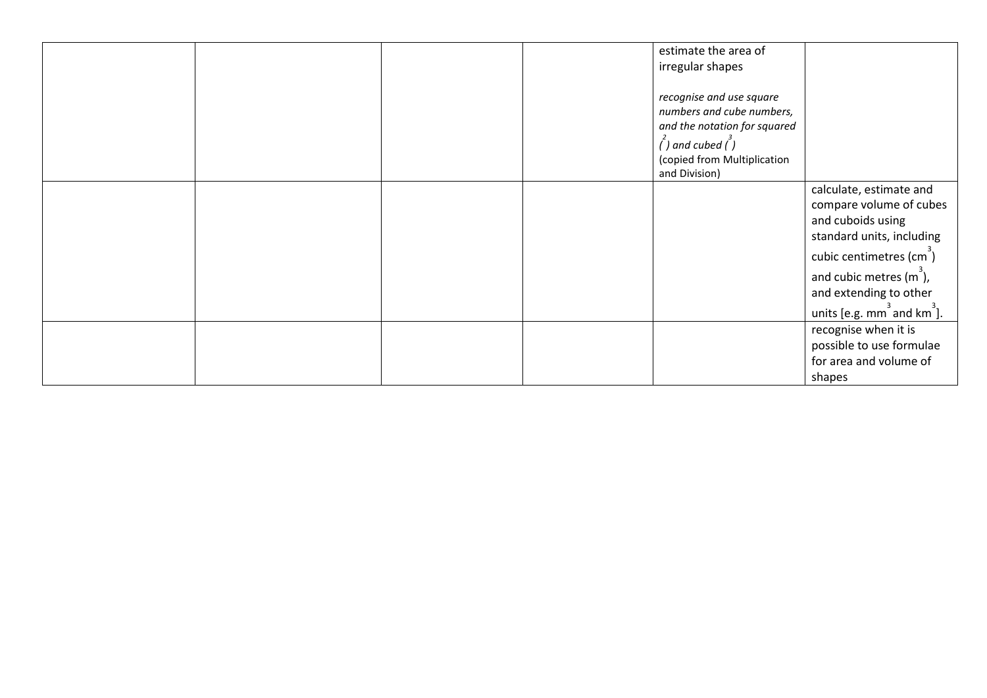|  |  | estimate the area of<br>irregular shapes                                                                                                                             |                                                                                                                                                                                                                                                 |
|--|--|----------------------------------------------------------------------------------------------------------------------------------------------------------------------|-------------------------------------------------------------------------------------------------------------------------------------------------------------------------------------------------------------------------------------------------|
|  |  | recognise and use square<br>numbers and cube numbers,<br>and the notation for squared<br>$\int$ ) and cubed $\int$ )<br>(copied from Multiplication<br>and Division) |                                                                                                                                                                                                                                                 |
|  |  |                                                                                                                                                                      | calculate, estimate and<br>compare volume of cubes<br>and cuboids using<br>standard units, including<br>cubic centimetres (cm <sup>3</sup> )<br>and cubic metres $(m3)$ ,<br>and extending to other<br>units [e.g. $mm3$ and km <sup>3</sup> ]. |
|  |  |                                                                                                                                                                      | recognise when it is<br>possible to use formulae<br>for area and volume of<br>shapes                                                                                                                                                            |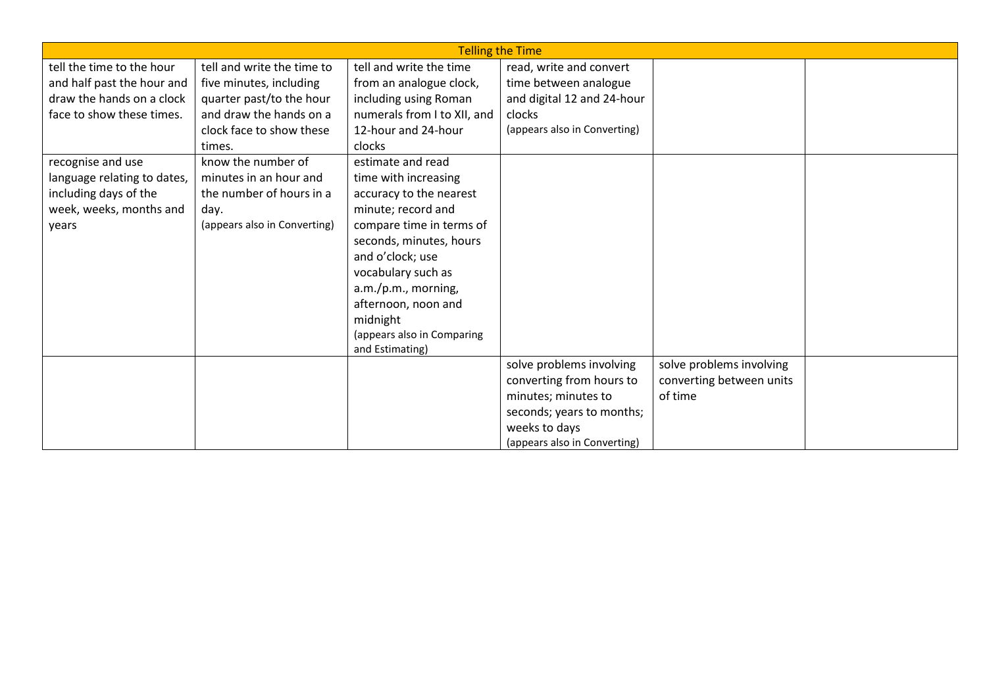|                             | <b>Telling the Time</b>      |                             |                              |                          |  |  |  |
|-----------------------------|------------------------------|-----------------------------|------------------------------|--------------------------|--|--|--|
| tell the time to the hour   | tell and write the time to   | tell and write the time     | read, write and convert      |                          |  |  |  |
| and half past the hour and  | five minutes, including      | from an analogue clock,     | time between analogue        |                          |  |  |  |
| draw the hands on a clock   | quarter past/to the hour     | including using Roman       | and digital 12 and 24-hour   |                          |  |  |  |
| face to show these times.   | and draw the hands on a      | numerals from I to XII, and | clocks                       |                          |  |  |  |
|                             | clock face to show these     | 12-hour and 24-hour         | (appears also in Converting) |                          |  |  |  |
|                             | times.                       | clocks                      |                              |                          |  |  |  |
| recognise and use           | know the number of           | estimate and read           |                              |                          |  |  |  |
| language relating to dates, | minutes in an hour and       | time with increasing        |                              |                          |  |  |  |
| including days of the       | the number of hours in a     | accuracy to the nearest     |                              |                          |  |  |  |
| week, weeks, months and     | day.                         | minute; record and          |                              |                          |  |  |  |
| years                       | (appears also in Converting) | compare time in terms of    |                              |                          |  |  |  |
|                             |                              | seconds, minutes, hours     |                              |                          |  |  |  |
|                             |                              | and o'clock; use            |                              |                          |  |  |  |
|                             |                              | vocabulary such as          |                              |                          |  |  |  |
|                             |                              | a.m./p.m., morning,         |                              |                          |  |  |  |
|                             |                              | afternoon, noon and         |                              |                          |  |  |  |
|                             |                              | midnight                    |                              |                          |  |  |  |
|                             |                              | (appears also in Comparing  |                              |                          |  |  |  |
|                             |                              | and Estimating)             |                              |                          |  |  |  |
|                             |                              |                             | solve problems involving     | solve problems involving |  |  |  |
|                             |                              |                             | converting from hours to     | converting between units |  |  |  |
|                             |                              |                             | minutes; minutes to          | of time                  |  |  |  |
|                             |                              |                             | seconds; years to months;    |                          |  |  |  |
|                             |                              |                             | weeks to days                |                          |  |  |  |
|                             |                              |                             | (appears also in Converting) |                          |  |  |  |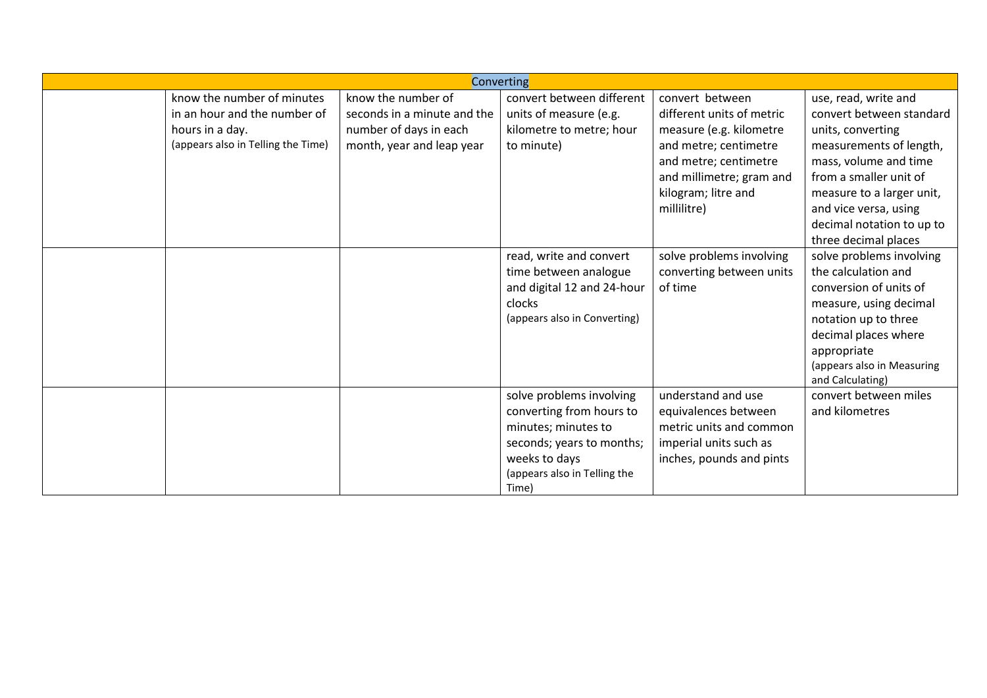|                                    |                             | <b>Converting</b>                     |                           |                            |
|------------------------------------|-----------------------------|---------------------------------------|---------------------------|----------------------------|
| know the number of minutes         | know the number of          | convert between different             | convert between           | use, read, write and       |
| in an hour and the number of       | seconds in a minute and the | units of measure (e.g.                | different units of metric | convert between standard   |
| hours in a day.                    | number of days in each      | kilometre to metre; hour              | measure (e.g. kilometre   | units, converting          |
| (appears also in Telling the Time) | month, year and leap year   | to minute)                            | and metre; centimetre     | measurements of length,    |
|                                    |                             |                                       | and metre; centimetre     | mass, volume and time      |
|                                    |                             |                                       | and millimetre; gram and  | from a smaller unit of     |
|                                    |                             |                                       | kilogram; litre and       | measure to a larger unit,  |
|                                    |                             |                                       | millilitre)               | and vice versa, using      |
|                                    |                             |                                       |                           | decimal notation to up to  |
|                                    |                             |                                       |                           | three decimal places       |
|                                    |                             | read, write and convert               | solve problems involving  | solve problems involving   |
|                                    |                             | time between analogue                 | converting between units  | the calculation and        |
|                                    |                             | and digital 12 and 24-hour            | of time                   | conversion of units of     |
|                                    |                             | clocks                                |                           | measure, using decimal     |
|                                    |                             | (appears also in Converting)          |                           | notation up to three       |
|                                    |                             |                                       |                           | decimal places where       |
|                                    |                             |                                       |                           | appropriate                |
|                                    |                             |                                       |                           | (appears also in Measuring |
|                                    |                             |                                       |                           | and Calculating)           |
|                                    |                             | solve problems involving              | understand and use        | convert between miles      |
|                                    |                             | converting from hours to              | equivalences between      | and kilometres             |
|                                    |                             | minutes; minutes to                   | metric units and common   |                            |
|                                    |                             | seconds; years to months;             | imperial units such as    |                            |
|                                    |                             | weeks to days                         | inches, pounds and pints  |                            |
|                                    |                             | (appears also in Telling the<br>Time) |                           |                            |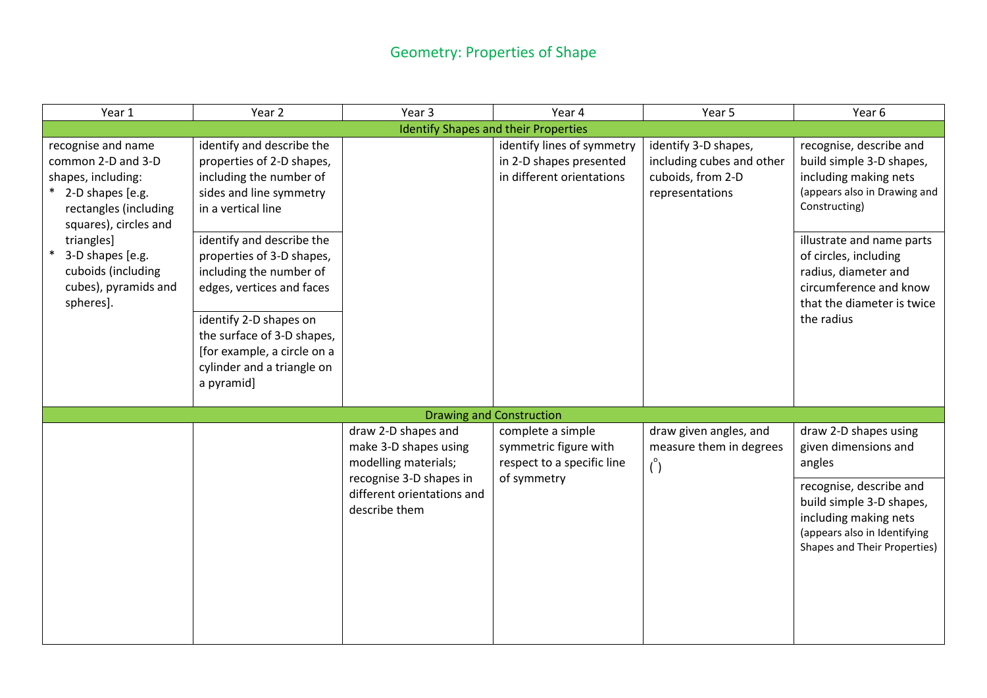### Geometry: Properties of Shape

| Year 1                                                                                                                               | Year 2                                                                                                                                                                                                                                            | Year 3                                                                 | Year 4                                                                             | Year 5                                                                                    | Year 6                                                                                                                                           |
|--------------------------------------------------------------------------------------------------------------------------------------|---------------------------------------------------------------------------------------------------------------------------------------------------------------------------------------------------------------------------------------------------|------------------------------------------------------------------------|------------------------------------------------------------------------------------|-------------------------------------------------------------------------------------------|--------------------------------------------------------------------------------------------------------------------------------------------------|
|                                                                                                                                      |                                                                                                                                                                                                                                                   |                                                                        | <b>Identify Shapes and their Properties</b>                                        |                                                                                           |                                                                                                                                                  |
| recognise and name<br>common 2-D and 3-D<br>shapes, including:<br>2-D shapes [e.g.<br>rectangles (including<br>squares), circles and | identify and describe the<br>properties of 2-D shapes,<br>including the number of<br>sides and line symmetry<br>in a vertical line                                                                                                                |                                                                        | identify lines of symmetry<br>in 2-D shapes presented<br>in different orientations | identify 3-D shapes,<br>including cubes and other<br>cuboids, from 2-D<br>representations | recognise, describe and<br>build simple 3-D shapes,<br>including making nets<br>(appears also in Drawing and<br>Constructing)                    |
| triangles]<br>3-D shapes [e.g.<br>cuboids (including<br>cubes), pyramids and<br>spheres].                                            | identify and describe the<br>properties of 3-D shapes,<br>including the number of<br>edges, vertices and faces<br>identify 2-D shapes on<br>the surface of 3-D shapes,<br>[for example, a circle on a<br>cylinder and a triangle on<br>a pyramid] |                                                                        |                                                                                    |                                                                                           | illustrate and name parts<br>of circles, including<br>radius, diameter and<br>circumference and know<br>that the diameter is twice<br>the radius |
|                                                                                                                                      |                                                                                                                                                                                                                                                   |                                                                        | <b>Drawing and Construction</b>                                                    |                                                                                           |                                                                                                                                                  |
|                                                                                                                                      |                                                                                                                                                                                                                                                   | draw 2-D shapes and<br>make 3-D shapes using<br>modelling materials;   | complete a simple<br>symmetric figure with<br>respect to a specific line           | draw given angles, and<br>measure them in degrees<br>$\binom{0}{0}$                       | draw 2-D shapes using<br>given dimensions and<br>angles                                                                                          |
|                                                                                                                                      |                                                                                                                                                                                                                                                   | recognise 3-D shapes in<br>different orientations and<br>describe them | of symmetry                                                                        |                                                                                           | recognise, describe and<br>build simple 3-D shapes,<br>including making nets<br>(appears also in Identifying<br>Shapes and Their Properties)     |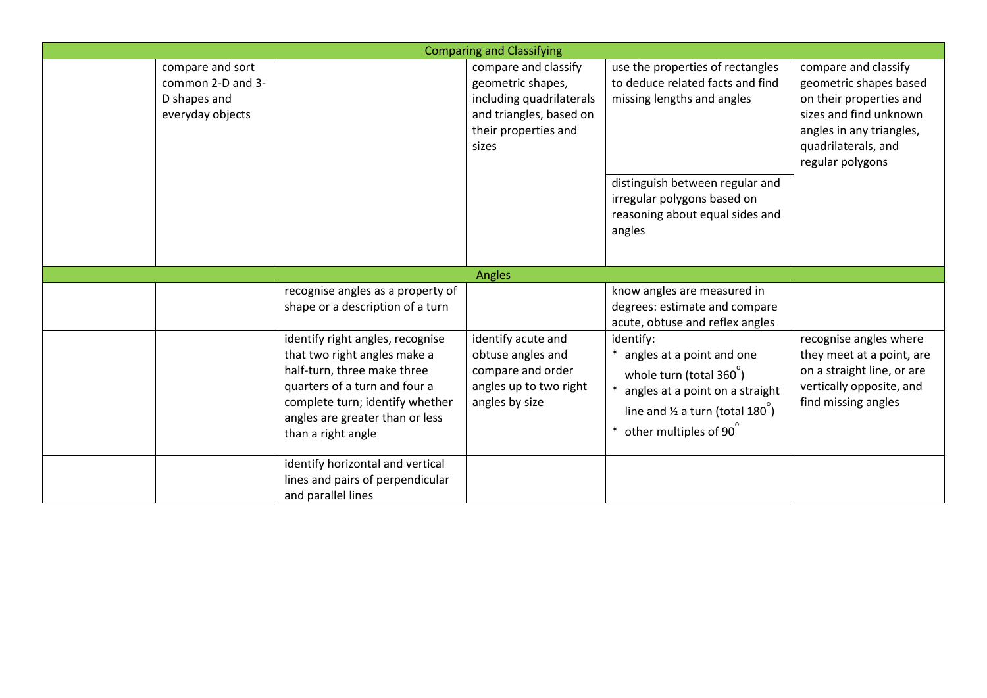|                                                                           |                                                                                                                                                                                                                              | <b>Comparing and Classifying</b>                                                                                                  |                                                                                                                                                                                                                   |                                                                                                                                                                            |
|---------------------------------------------------------------------------|------------------------------------------------------------------------------------------------------------------------------------------------------------------------------------------------------------------------------|-----------------------------------------------------------------------------------------------------------------------------------|-------------------------------------------------------------------------------------------------------------------------------------------------------------------------------------------------------------------|----------------------------------------------------------------------------------------------------------------------------------------------------------------------------|
| compare and sort<br>common 2-D and 3-<br>D shapes and<br>everyday objects |                                                                                                                                                                                                                              | compare and classify<br>geometric shapes,<br>including quadrilaterals<br>and triangles, based on<br>their properties and<br>sizes | use the properties of rectangles<br>to deduce related facts and find<br>missing lengths and angles<br>distinguish between regular and<br>irregular polygons based on<br>reasoning about equal sides and<br>angles | compare and classify<br>geometric shapes based<br>on their properties and<br>sizes and find unknown<br>angles in any triangles,<br>quadrilaterals, and<br>regular polygons |
|                                                                           |                                                                                                                                                                                                                              | Angles                                                                                                                            |                                                                                                                                                                                                                   |                                                                                                                                                                            |
|                                                                           | recognise angles as a property of<br>shape or a description of a turn                                                                                                                                                        |                                                                                                                                   | know angles are measured in<br>degrees: estimate and compare<br>acute, obtuse and reflex angles                                                                                                                   |                                                                                                                                                                            |
|                                                                           | identify right angles, recognise<br>that two right angles make a<br>half-turn, three make three<br>quarters of a turn and four a<br>complete turn; identify whether<br>angles are greater than or less<br>than a right angle | identify acute and<br>obtuse angles and<br>compare and order<br>angles up to two right<br>angles by size                          | identify:<br>angles at a point and one<br>whole turn (total 360)<br>angles at a point on a straight<br>line and $\frac{1}{2}$ a turn (total 180 <sup>°</sup> )<br>other multiples of 90                           | recognise angles where<br>they meet at a point, are<br>on a straight line, or are<br>vertically opposite, and<br>find missing angles                                       |
|                                                                           | identify horizontal and vertical<br>lines and pairs of perpendicular<br>and parallel lines                                                                                                                                   |                                                                                                                                   |                                                                                                                                                                                                                   |                                                                                                                                                                            |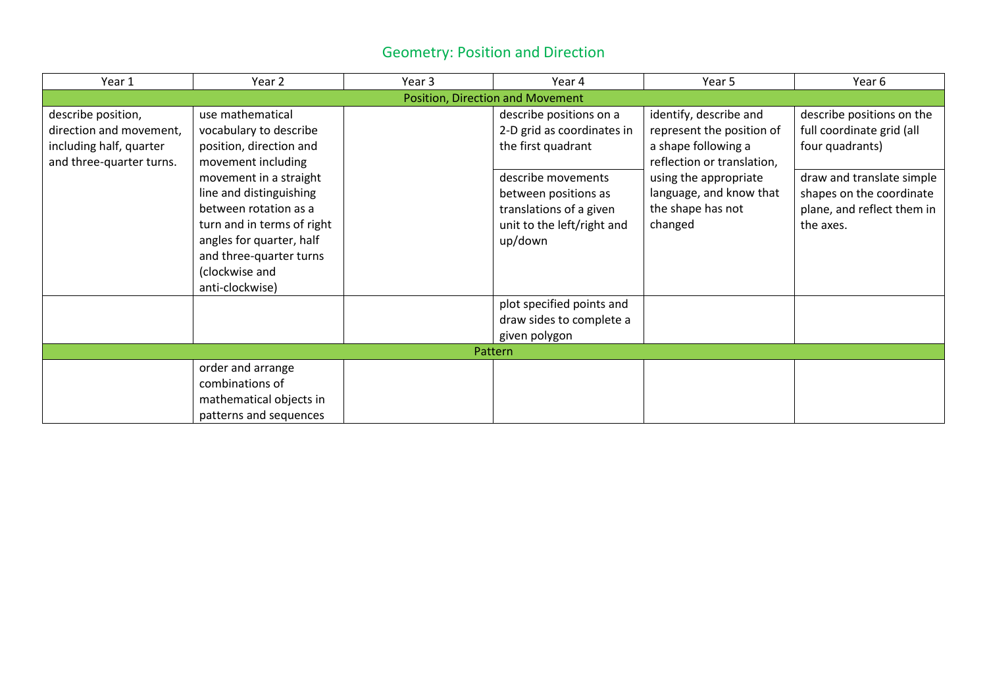### Geometry: Position and Direction

| Year 1                   | Year 2                     | Year 3 | Year 4                           | Year 5                     | Year 6                     |
|--------------------------|----------------------------|--------|----------------------------------|----------------------------|----------------------------|
|                          |                            |        | Position, Direction and Movement |                            |                            |
| describe position,       | use mathematical           |        | describe positions on a          | identify, describe and     | describe positions on the  |
| direction and movement,  | vocabulary to describe     |        | 2-D grid as coordinates in       | represent the position of  | full coordinate grid (all  |
| including half, quarter  | position, direction and    |        | the first quadrant               | a shape following a        | four quadrants)            |
| and three-quarter turns. | movement including         |        |                                  | reflection or translation, |                            |
|                          | movement in a straight     |        | describe movements               | using the appropriate      | draw and translate simple  |
|                          | line and distinguishing    |        | between positions as             | language, and know that    | shapes on the coordinate   |
|                          | between rotation as a      |        | translations of a given          | the shape has not          | plane, and reflect them in |
|                          | turn and in terms of right |        | unit to the left/right and       | changed                    | the axes.                  |
|                          | angles for quarter, half   |        | up/down                          |                            |                            |
|                          | and three-quarter turns    |        |                                  |                            |                            |
|                          | (clockwise and             |        |                                  |                            |                            |
|                          | anti-clockwise)            |        |                                  |                            |                            |
|                          |                            |        | plot specified points and        |                            |                            |
|                          |                            |        | draw sides to complete a         |                            |                            |
|                          |                            |        | given polygon                    |                            |                            |
|                          |                            |        | Pattern                          |                            |                            |
|                          | order and arrange          |        |                                  |                            |                            |
|                          | combinations of            |        |                                  |                            |                            |
|                          | mathematical objects in    |        |                                  |                            |                            |
|                          | patterns and sequences     |        |                                  |                            |                            |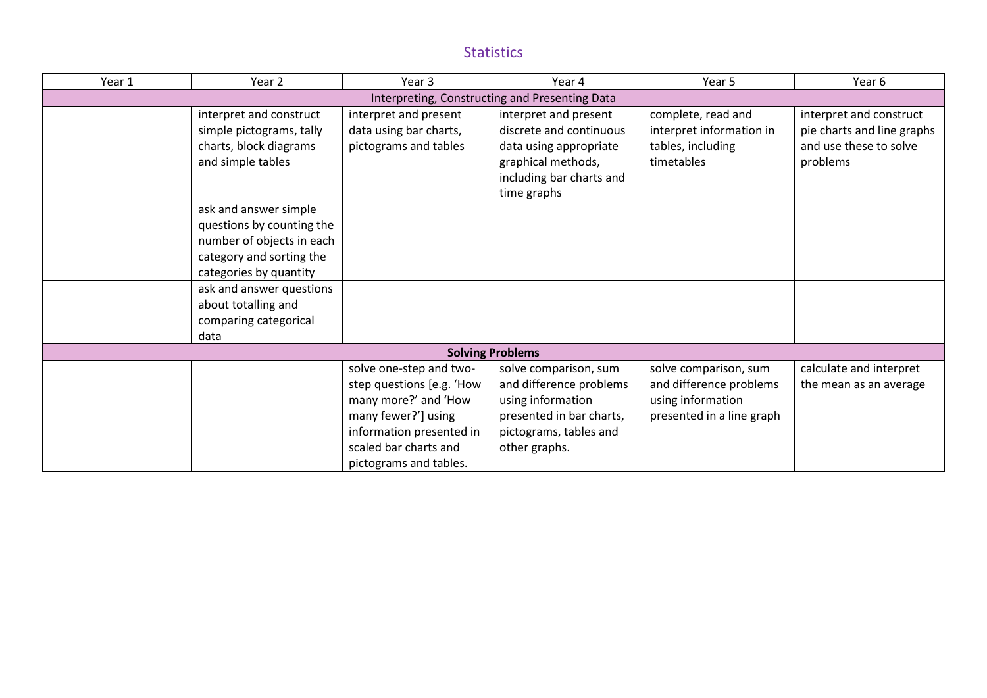#### Statistics

| Year 1 | Year 2                                                                                                                                | Year <sub>3</sub>                                                                                                                                                                  | Year 4                                                                                                                                       | Year 5                                                                                             | Year 6                                                                                      |
|--------|---------------------------------------------------------------------------------------------------------------------------------------|------------------------------------------------------------------------------------------------------------------------------------------------------------------------------------|----------------------------------------------------------------------------------------------------------------------------------------------|----------------------------------------------------------------------------------------------------|---------------------------------------------------------------------------------------------|
|        |                                                                                                                                       |                                                                                                                                                                                    | Interpreting, Constructing and Presenting Data                                                                                               |                                                                                                    |                                                                                             |
|        | interpret and construct<br>simple pictograms, tally<br>charts, block diagrams<br>and simple tables                                    | interpret and present<br>data using bar charts,<br>pictograms and tables                                                                                                           | interpret and present<br>discrete and continuous<br>data using appropriate<br>graphical methods,<br>including bar charts and<br>time graphs  | complete, read and<br>interpret information in<br>tables, including<br>timetables                  | interpret and construct<br>pie charts and line graphs<br>and use these to solve<br>problems |
|        | ask and answer simple<br>questions by counting the<br>number of objects in each<br>category and sorting the<br>categories by quantity |                                                                                                                                                                                    |                                                                                                                                              |                                                                                                    |                                                                                             |
|        | ask and answer questions<br>about totalling and<br>comparing categorical<br>data                                                      |                                                                                                                                                                                    |                                                                                                                                              |                                                                                                    |                                                                                             |
|        |                                                                                                                                       |                                                                                                                                                                                    | <b>Solving Problems</b>                                                                                                                      |                                                                                                    |                                                                                             |
|        |                                                                                                                                       | solve one-step and two-<br>step questions [e.g. 'How<br>many more?' and 'How<br>many fewer?'] using<br>information presented in<br>scaled bar charts and<br>pictograms and tables. | solve comparison, sum<br>and difference problems<br>using information<br>presented in bar charts,<br>pictograms, tables and<br>other graphs. | solve comparison, sum<br>and difference problems<br>using information<br>presented in a line graph | calculate and interpret<br>the mean as an average                                           |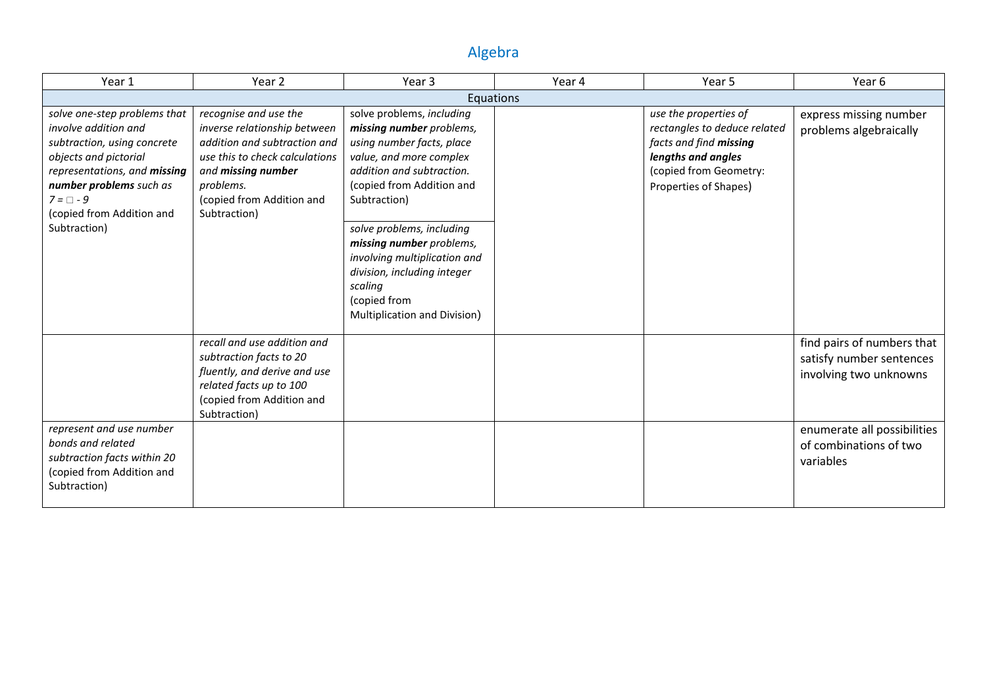### Algebra

| Year 1                                                                                                                                                                                                                                 | Year 2                                                                                                                                                                                                  | Year 3                                                                                                                                                                                                                                                                                                                                                                     | Year 4 | Year 5                                                                                                                                                   | Year 6                                                                                                                                                 |
|----------------------------------------------------------------------------------------------------------------------------------------------------------------------------------------------------------------------------------------|---------------------------------------------------------------------------------------------------------------------------------------------------------------------------------------------------------|----------------------------------------------------------------------------------------------------------------------------------------------------------------------------------------------------------------------------------------------------------------------------------------------------------------------------------------------------------------------------|--------|----------------------------------------------------------------------------------------------------------------------------------------------------------|--------------------------------------------------------------------------------------------------------------------------------------------------------|
|                                                                                                                                                                                                                                        |                                                                                                                                                                                                         | Equations                                                                                                                                                                                                                                                                                                                                                                  |        |                                                                                                                                                          |                                                                                                                                                        |
| solve one-step problems that<br>involve addition and<br>subtraction, using concrete<br>objects and pictorial<br>representations, and missing<br>number problems such as<br>$7 = \Box - 9$<br>(copied from Addition and<br>Subtraction) | recognise and use the<br>inverse relationship between<br>addition and subtraction and<br>use this to check calculations<br>and missing number<br>problems.<br>(copied from Addition and<br>Subtraction) | solve problems, including<br>missing number problems,<br>using number facts, place<br>value, and more complex<br>addition and subtraction.<br>(copied from Addition and<br>Subtraction)<br>solve problems, including<br>missing number problems,<br>involving multiplication and<br>division, including integer<br>scaling<br>(copied from<br>Multiplication and Division) |        | use the properties of<br>rectangles to deduce related<br>facts and find missing<br>lengths and angles<br>(copied from Geometry:<br>Properties of Shapes) | express missing number<br>problems algebraically                                                                                                       |
| represent and use number<br>bonds and related<br>subtraction facts within 20<br>(copied from Addition and<br>Subtraction)                                                                                                              | recall and use addition and<br>subtraction facts to 20<br>fluently, and derive and use<br>related facts up to 100<br>(copied from Addition and<br>Subtraction)                                          |                                                                                                                                                                                                                                                                                                                                                                            |        |                                                                                                                                                          | find pairs of numbers that<br>satisfy number sentences<br>involving two unknowns<br>enumerate all possibilities<br>of combinations of two<br>variables |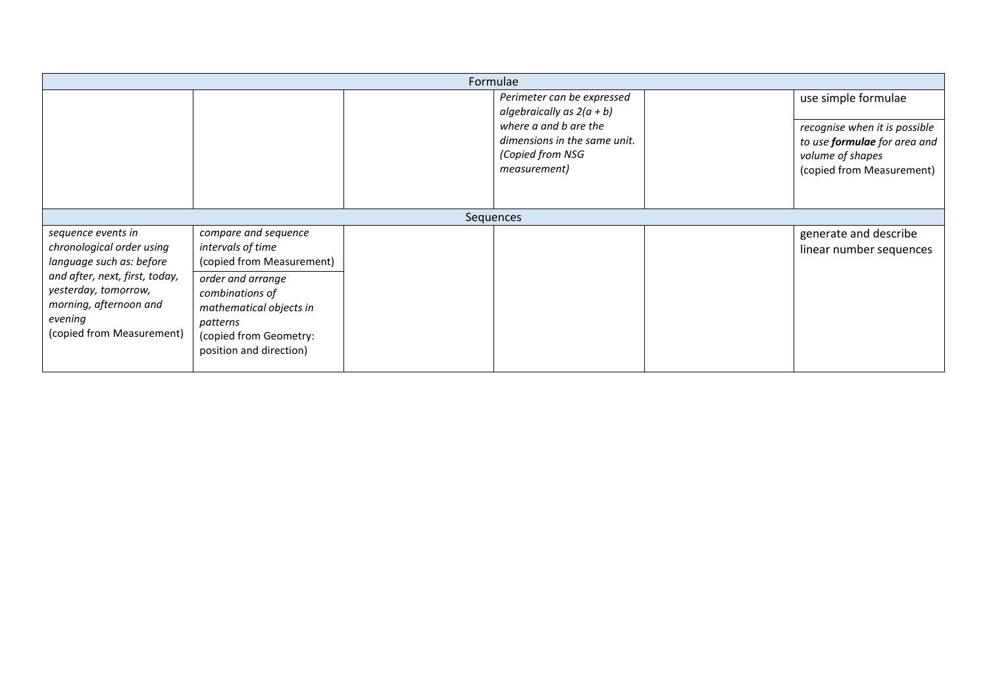|                                                                                                                                                                                                         | Formulae                                                                                                                                                                                                   |  |                                                                                                                                                        |  |                                                                                                                                       |  |  |
|---------------------------------------------------------------------------------------------------------------------------------------------------------------------------------------------------------|------------------------------------------------------------------------------------------------------------------------------------------------------------------------------------------------------------|--|--------------------------------------------------------------------------------------------------------------------------------------------------------|--|---------------------------------------------------------------------------------------------------------------------------------------|--|--|
|                                                                                                                                                                                                         |                                                                                                                                                                                                            |  | Perimeter can be expressed<br>algebraically as $2(a + b)$<br>where a and b are the<br>dimensions in the same unit.<br>(Copied from NSG<br>measurement) |  | use simple formulae<br>recognise when it is possible<br>to use formulae for area and<br>volume of shapes<br>(copied from Measurement) |  |  |
|                                                                                                                                                                                                         |                                                                                                                                                                                                            |  | Sequences                                                                                                                                              |  |                                                                                                                                       |  |  |
| sequence events in<br>chronological order using<br>language such as: before<br>and after, next, first, today,<br>yesterday, tomorrow,<br>morning, afternoon and<br>evening<br>(copied from Measurement) | compare and sequence<br>intervals of time<br>(copied from Measurement)<br>order and arrange<br>combinations of<br>mathematical objects in<br>patterns<br>(copied from Geometry:<br>position and direction) |  |                                                                                                                                                        |  | generate and describe<br>linear number sequences                                                                                      |  |  |